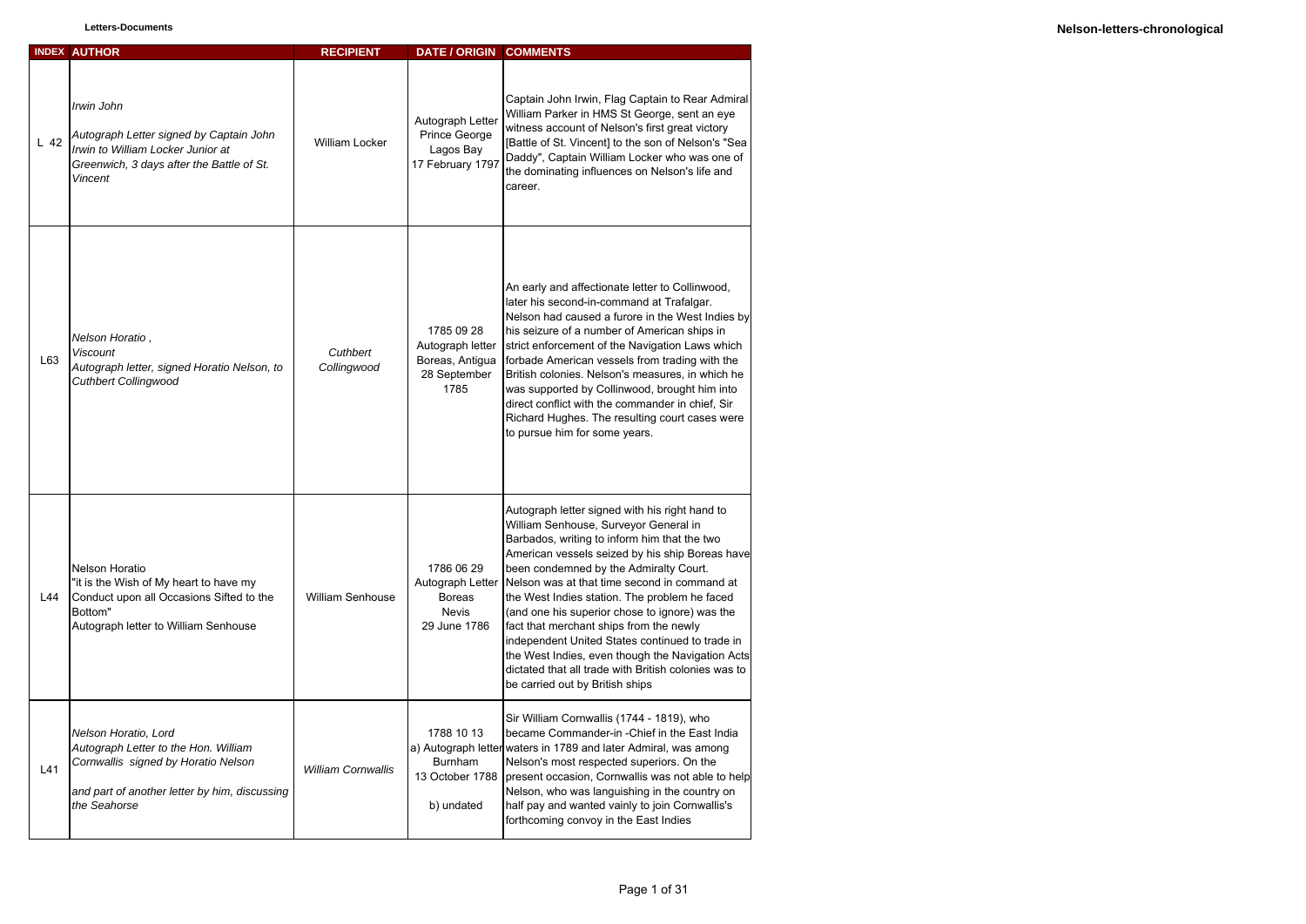|        | <b>INDEX AUTHOR</b>                                                                                                                                                  | <b>RECIPIENT</b>          | DATE / ORIGIN COMMENTS                                                          |                                                                                                                                                                                                                                                                                                                                                                                                                                                                                                                                                                                                                                      |
|--------|----------------------------------------------------------------------------------------------------------------------------------------------------------------------|---------------------------|---------------------------------------------------------------------------------|--------------------------------------------------------------------------------------------------------------------------------------------------------------------------------------------------------------------------------------------------------------------------------------------------------------------------------------------------------------------------------------------------------------------------------------------------------------------------------------------------------------------------------------------------------------------------------------------------------------------------------------|
| $L$ 42 | Irwin John<br>Autograph Letter signed by Captain John<br>Irwin to William Locker Junior at<br>Greenwich, 3 days after the Battle of St.<br>Vincent                   | <b>William Locker</b>     | Autograph Letter<br>Prince George<br>Lagos Bay<br>17 February 1797              | Captain John Irwin, Flag Captain to Rear Admiral<br>William Parker in HMS St George, sent an eye<br>witness account of Nelson's first great victory<br>[Battle of St. Vincent] to the son of Nelson's "Sea<br>Daddy", Captain William Locker who was one of<br>the dominating influences on Nelson's life and<br>career.                                                                                                                                                                                                                                                                                                             |
| L63    | Nelson Horatio,<br><b>Viscount</b><br>Autograph letter, signed Horatio Nelson, to<br><b>Cuthbert Collingwood</b>                                                     | Cuthbert<br>Collingwood   | 1785 09 28<br>Autograph letter<br>Boreas, Antigua<br>28 September<br>1785       | An early and affectionate letter to Collinwood,<br>later his second-in-command at Trafalgar.<br>Nelson had caused a furore in the West Indies by<br>his seizure of a number of American ships in<br>strict enforcement of the Navigation Laws which<br>forbade American vessels from trading with the<br>British colonies. Nelson's measures, in which he<br>was supported by Collinwood, brought him into<br>direct conflict with the commander in chief, Sir<br>Richard Hughes. The resulting court cases were<br>to pursue him for some years.                                                                                    |
| L44    | Nelson Horatio<br>"it is the Wish of My heart to have my<br>Conduct upon all Occasions Sifted to the<br>Bottom"<br>Autograph letter to William Senhouse              | <b>William Senhouse</b>   | 1786 06 29<br>Autograph Letter<br><b>Boreas</b><br><b>Nevis</b><br>29 June 1786 | Autograph letter signed with his right hand to<br>William Senhouse, Surveyor General in<br>Barbados, writing to inform him that the two<br>American vessels seized by his ship Boreas have<br>been condemned by the Admiralty Court.<br>Nelson was at that time second in command at<br>the West Indies station. The problem he faced<br>(and one his superior chose to ignore) was the<br>fact that merchant ships from the newly<br>independent United States continued to trade in<br>the West Indies, even though the Navigation Acts<br>dictated that all trade with British colonies was to<br>be carried out by British ships |
| L41    | Nelson Horatio, Lord<br>Autograph Letter to the Hon. William<br>Cornwallis signed by Horatio Nelson<br>and part of another letter by him, discussing<br>the Seahorse | <b>William Cornwallis</b> | 1788 10 13<br><b>Burnham</b><br>13 October 1788<br>b) undated                   | Sir William Cornwallis (1744 - 1819), who<br>became Commander-in - Chief in the East India<br>a) Autograph letter waters in 1789 and later Admiral, was among<br>Nelson's most respected superiors. On the<br>present occasion, Cornwallis was not able to help<br>Nelson, who was languishing in the country on<br>half pay and wanted vainly to join Cornwallis's<br>forthcoming convoy in the East Indies                                                                                                                                                                                                                         |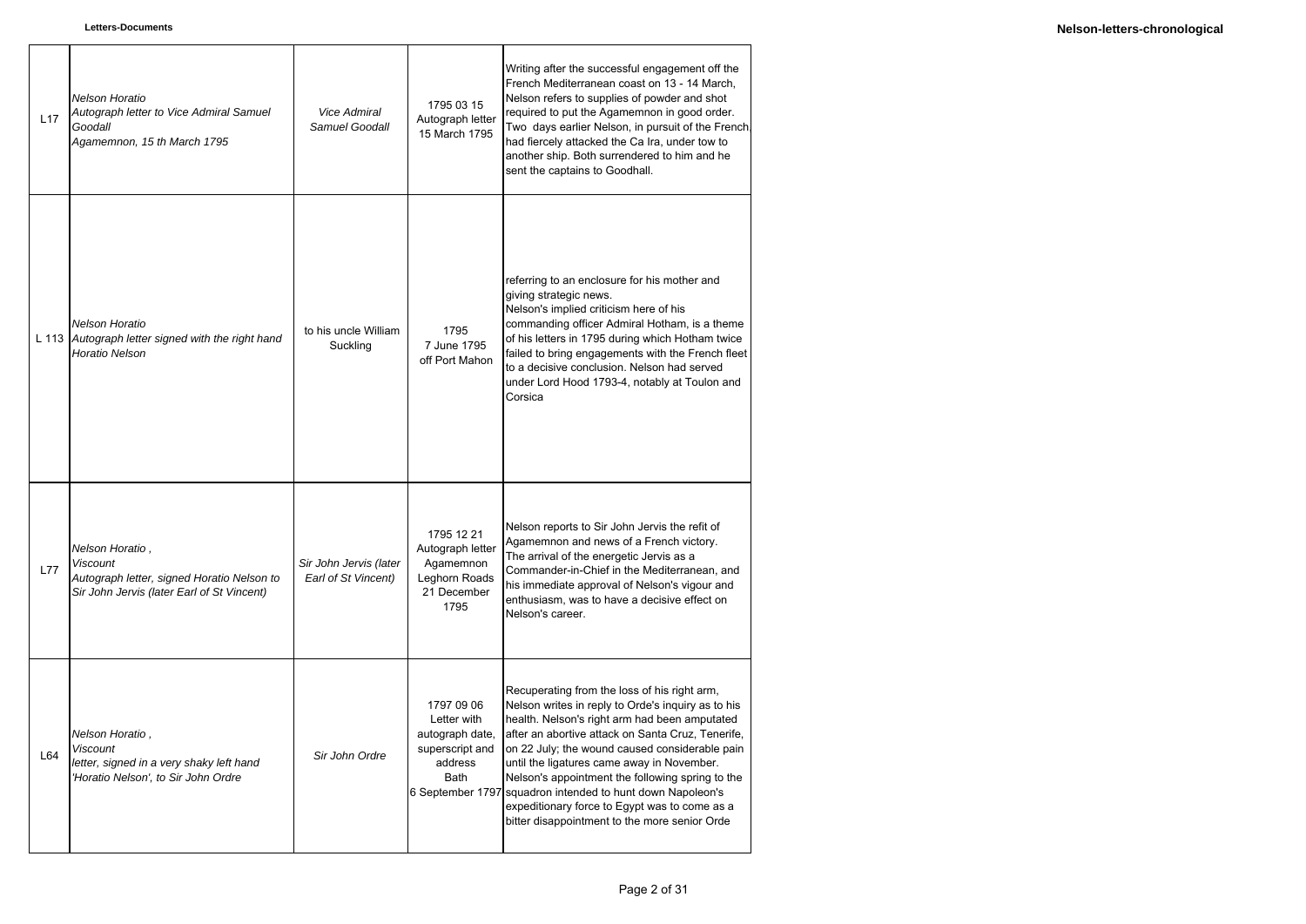| L17        | Nelson Horatio<br>Autograph letter to Vice Admiral Samuel<br>Goodall<br>Agamemnon, 15 th March 1795                            | Vice Admiral<br>Samuel Goodall                | 1795 03 15<br>Autograph letter<br>15 March 1795                                                               | Writing after the successful engagement off the<br>French Mediterranean coast on 13 - 14 March,<br>Nelson refers to supplies of powder and shot<br>required to put the Agamemnon in good order.<br>Two days earlier Nelson, in pursuit of the French.<br>had fiercely attacked the Ca Ira, under tow to<br>another ship. Both surrendered to him and he<br>sent the captains to Goodhall.                                                                                                                   |
|------------|--------------------------------------------------------------------------------------------------------------------------------|-----------------------------------------------|---------------------------------------------------------------------------------------------------------------|-------------------------------------------------------------------------------------------------------------------------------------------------------------------------------------------------------------------------------------------------------------------------------------------------------------------------------------------------------------------------------------------------------------------------------------------------------------------------------------------------------------|
| L 113      | Nelson Horatio<br>Autograph letter signed with the right hand<br><b>Horatio Nelson</b>                                         | to his uncle William<br>Suckling              | 1795<br>7 June 1795<br>off Port Mahon                                                                         | referring to an enclosure for his mother and<br>giving strategic news.<br>Nelson's implied criticism here of his<br>commanding officer Admiral Hotham, is a theme<br>of his letters in 1795 during which Hotham twice<br>failed to bring engagements with the French fleet<br>to a decisive conclusion. Nelson had served<br>under Lord Hood 1793-4, notably at Toulon and<br>Corsica                                                                                                                       |
| <b>L77</b> | Nelson Horatio,<br><b>Viscount</b><br>Autograph letter, signed Horatio Nelson to<br>Sir John Jervis (later Earl of St Vincent) | Sir John Jervis (later<br>Earl of St Vincent) | 1795 12 21<br>Autograph letter<br>Agamemnon<br>Leghorn Roads<br>21 December<br>1795                           | Nelson reports to Sir John Jervis the refit of<br>Agamemnon and news of a French victory.<br>The arrival of the energetic Jervis as a<br>Commander-in-Chief in the Mediterranean, and<br>his immediate approval of Nelson's vigour and<br>enthusiasm, was to have a decisive effect on<br>Nelson's career.                                                                                                                                                                                                  |
| L64        | Nelson Horatio,<br><b>Viscount</b><br>letter, signed in a very shaky left hand<br>'Horatio Nelson', to Sir John Ordre          | Sir John Ordre                                | 1797 09 06<br>Letter with<br>autograph date,<br>superscript and<br>address<br><b>Bath</b><br>6 September 1797 | Recuperating from the loss of his right arm,<br>Nelson writes in reply to Orde's inquiry as to his<br>health. Nelson's right arm had been amputated<br>after an abortive attack on Santa Cruz, Tenerife,<br>on 22 July; the wound caused considerable pain<br>until the ligatures came away in November.<br>Nelson's appointment the following spring to the<br>squadron intended to hunt down Napoleon's<br>expeditionary force to Egypt was to come as a<br>bitter disappointment to the more senior Orde |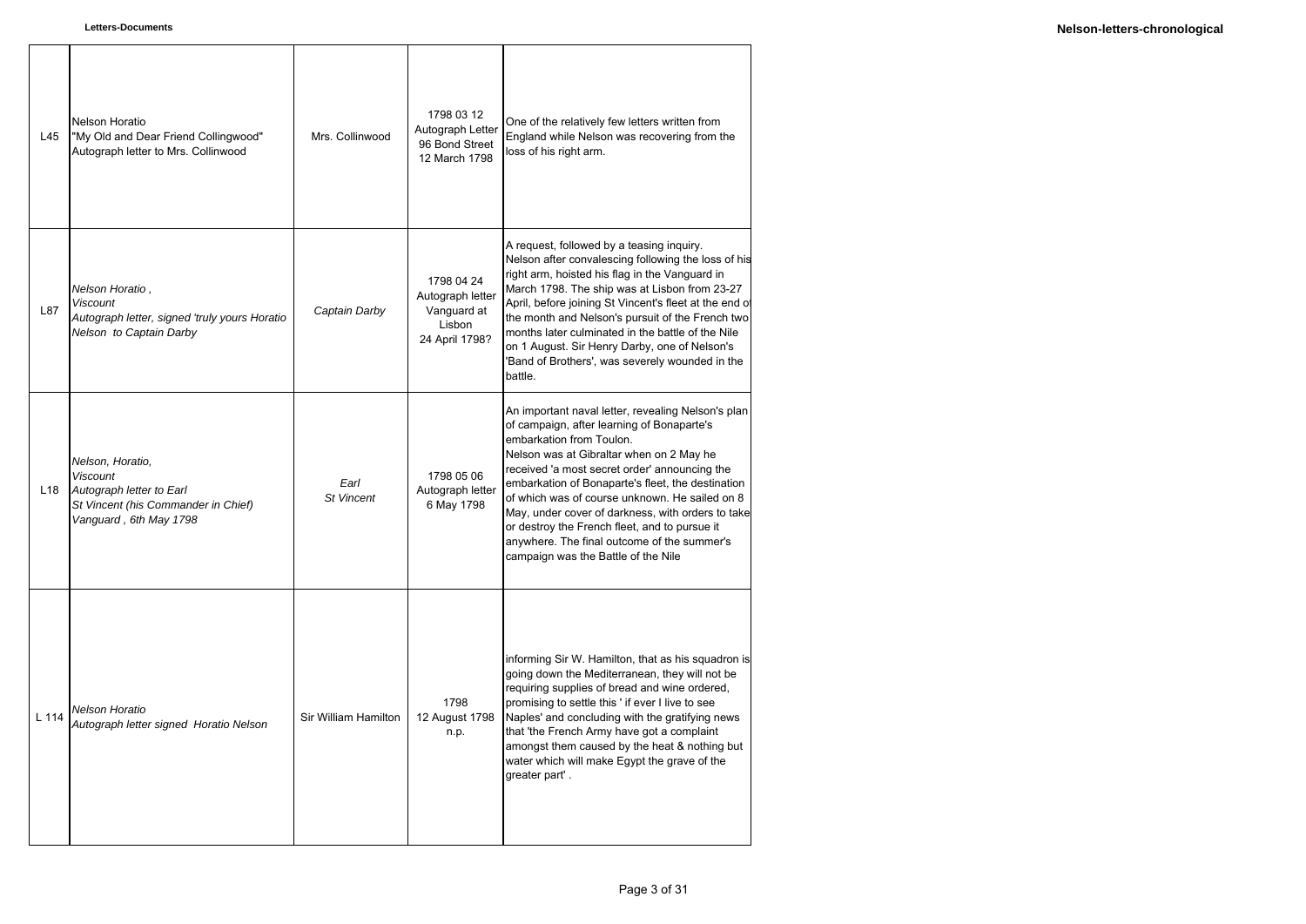| L45             | Nelson Horatio<br>"My Old and Dear Friend Collingwood"<br>Autograph letter to Mrs. Collinwood                                    | Mrs. Collinwood           | 1798 03 12<br>Autograph Letter<br>96 Bond Street<br>12 March 1798         | One of the relatively few letters written from<br>England while Nelson was recovering from the<br>loss of his right arm.                                                                                                                                                                                                                                                                                                                                                                                                     |
|-----------------|----------------------------------------------------------------------------------------------------------------------------------|---------------------------|---------------------------------------------------------------------------|------------------------------------------------------------------------------------------------------------------------------------------------------------------------------------------------------------------------------------------------------------------------------------------------------------------------------------------------------------------------------------------------------------------------------------------------------------------------------------------------------------------------------|
| L87             | Nelson Horatio,<br><b>Viscount</b><br>Autograph letter, signed 'truly yours Horatio<br>Nelson to Captain Darby                   | Captain Darby             | 1798 04 24<br>Autograph letter<br>Vanguard at<br>Lisbon<br>24 April 1798? | A request, followed by a teasing inquiry.<br>Nelson after convalescing following the loss of his<br>right arm, hoisted his flag in the Vanguard in<br>March 1798. The ship was at Lisbon from 23-27<br>April, before joining St Vincent's fleet at the end of<br>the month and Nelson's pursuit of the French two<br>months later culminated in the battle of the Nile<br>on 1 August. Sir Henry Darby, one of Nelson's<br>'Band of Brothers', was severely wounded in the<br>battle.                                        |
| L <sub>18</sub> | Nelson, Horatio,<br><b>Viscount</b><br>Autograph letter to Earl<br>St Vincent (his Commander in Chief)<br>Vanguard, 6th May 1798 | Earl<br><b>St Vincent</b> | 1798 05 06<br>Autograph letter<br>6 May 1798                              | An important naval letter, revealing Nelson's plan<br>of campaign, after learning of Bonaparte's<br>embarkation from Toulon.<br>Nelson was at Gibraltar when on 2 May he<br>received 'a most secret order' announcing the<br>embarkation of Bonaparte's fleet, the destination<br>of which was of course unknown. He sailed on 8<br>May, under cover of darkness, with orders to take<br>or destroy the French fleet, and to pursue it<br>anywhere. The final outcome of the summer's<br>campaign was the Battle of the Nile |
| L 114           | <b>Nelson Horatio</b><br>Autograph letter signed Horatio Nelson                                                                  | Sir William Hamilton      | 1798<br>12 August 1798<br>n.p.                                            | informing Sir W. Hamilton, that as his squadron is<br>going down the Mediterranean, they will not be<br>requiring supplies of bread and wine ordered,<br>promising to settle this ' if ever I live to see<br>Naples' and concluding with the gratifying news<br>that 'the French Army have got a complaint<br>amongst them caused by the heat & nothing but<br>water which will make Egypt the grave of the<br>greater part'.                                                                                                |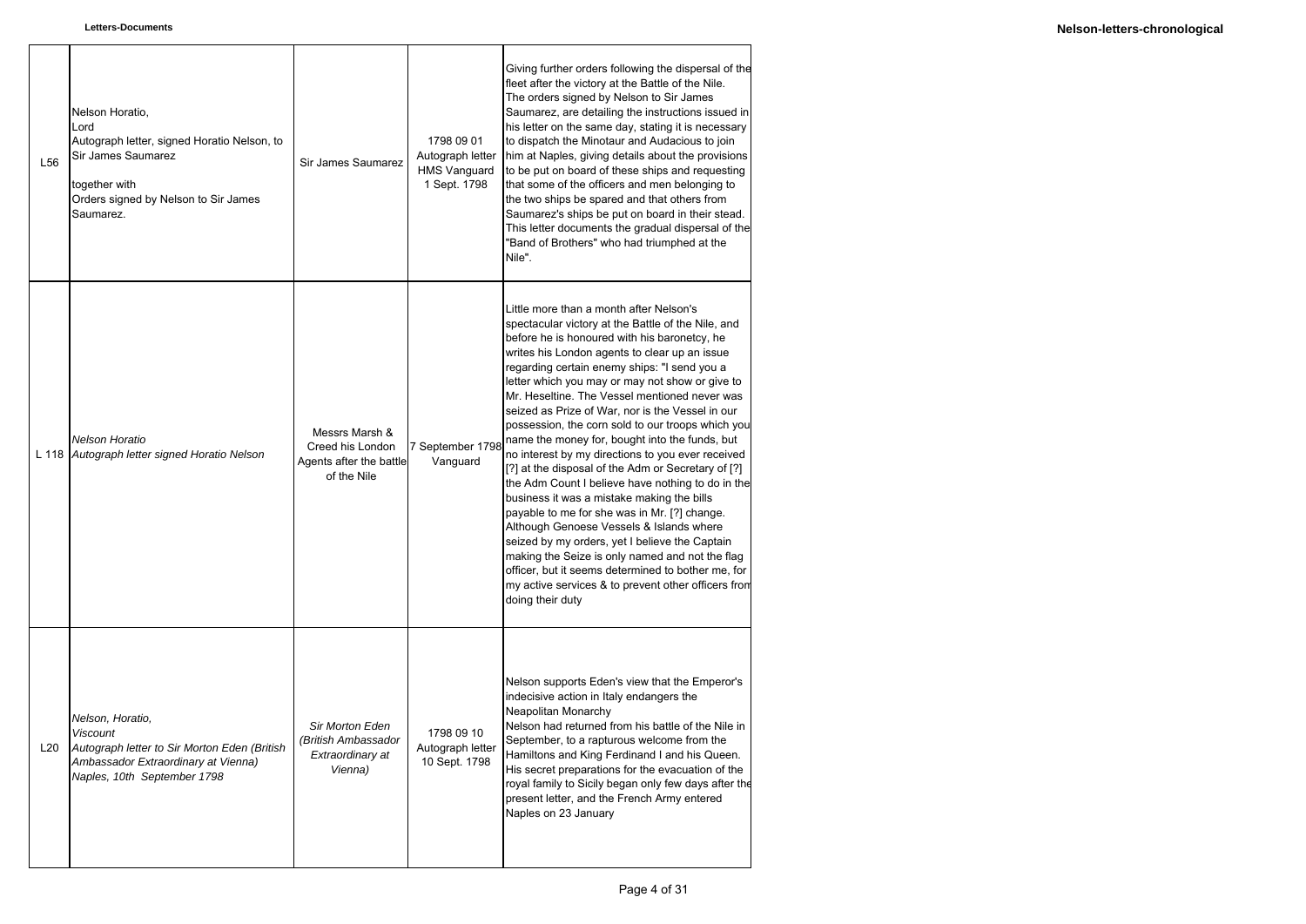- 1

| L <sub>56</sub> | Nelson Horatio,<br>Lord<br>Autograph letter, signed Horatio Nelson, to<br>Sir James Saumarez<br>together with<br>Orders signed by Nelson to Sir James<br>Saumarez. | Sir James Saumarez                                                           | 1798 09 01<br>Autograph letter<br><b>HMS Vanguard</b><br>1 Sept. 1798 | Giving further orders following the dispersal of the<br>fleet after the victory at the Battle of the Nile.<br>The orders signed by Nelson to Sir James<br>Saumarez, are detailing the instructions issued in<br>his letter on the same day, stating it is necessary<br>to dispatch the Minotaur and Audacious to join<br>him at Naples, giving details about the provisions<br>to be put on board of these ships and requesting<br>that some of the officers and men belonging to<br>the two ships be spared and that others from<br>Saumarez's ships be put on board in their stead.<br>This letter documents the gradual dispersal of the<br>"Band of Brothers" who had triumphed at the<br>Nile".                                                                                                                                                                                                                                                                                                                                                          |
|-----------------|--------------------------------------------------------------------------------------------------------------------------------------------------------------------|------------------------------------------------------------------------------|-----------------------------------------------------------------------|---------------------------------------------------------------------------------------------------------------------------------------------------------------------------------------------------------------------------------------------------------------------------------------------------------------------------------------------------------------------------------------------------------------------------------------------------------------------------------------------------------------------------------------------------------------------------------------------------------------------------------------------------------------------------------------------------------------------------------------------------------------------------------------------------------------------------------------------------------------------------------------------------------------------------------------------------------------------------------------------------------------------------------------------------------------|
| L 118           | Nelson Horatio<br>Autograph letter signed Horatio Nelson                                                                                                           | Messrs Marsh &<br>Creed his London<br>Agents after the battle<br>of the Nile | 7 September 1798<br>Vanguard                                          | Little more than a month after Nelson's<br>spectacular victory at the Battle of the Nile, and<br>before he is honoured with his baronetcy, he<br>writes his London agents to clear up an issue<br>regarding certain enemy ships: "I send you a<br>letter which you may or may not show or give to<br>Mr. Heseltine. The Vessel mentioned never was<br>seized as Prize of War, nor is the Vessel in our<br>possession, the corn sold to our troops which you<br>name the money for, bought into the funds, but<br>no interest by my directions to you ever received<br>[?] at the disposal of the Adm or Secretary of [?]<br>the Adm Count I believe have nothing to do in the<br>business it was a mistake making the bills<br>payable to me for she was in Mr. [?] change.<br>Although Genoese Vessels & Islands where<br>seized by my orders, yet I believe the Captain<br>making the Seize is only named and not the flag<br>officer, but it seems determined to bother me, for<br>my active services & to prevent other officers from<br>doing their duty |
| L <sub>20</sub> | Nelson, Horatio,<br><b>Viscount</b><br>Autograph letter to Sir Morton Eden (British<br>Ambassador Extraordinary at Vienna)<br>Naples, 10th September 1798          | Sir Morton Eden<br>(British Ambassador<br>Extraordinary at<br>Vienna)        | 1798 09 10<br>Autograph letter<br>10 Sept. 1798                       | Nelson supports Eden's view that the Emperor's<br>indecisive action in Italy endangers the<br>Neapolitan Monarchy<br>Nelson had returned from his battle of the Nile in<br>September, to a rapturous welcome from the<br>Hamiltons and King Ferdinand I and his Queen.<br>His secret preparations for the evacuation of the<br>royal family to Sicily began only few days after the<br>present letter, and the French Army entered<br>Naples on 23 January                                                                                                                                                                                                                                                                                                                                                                                                                                                                                                                                                                                                    |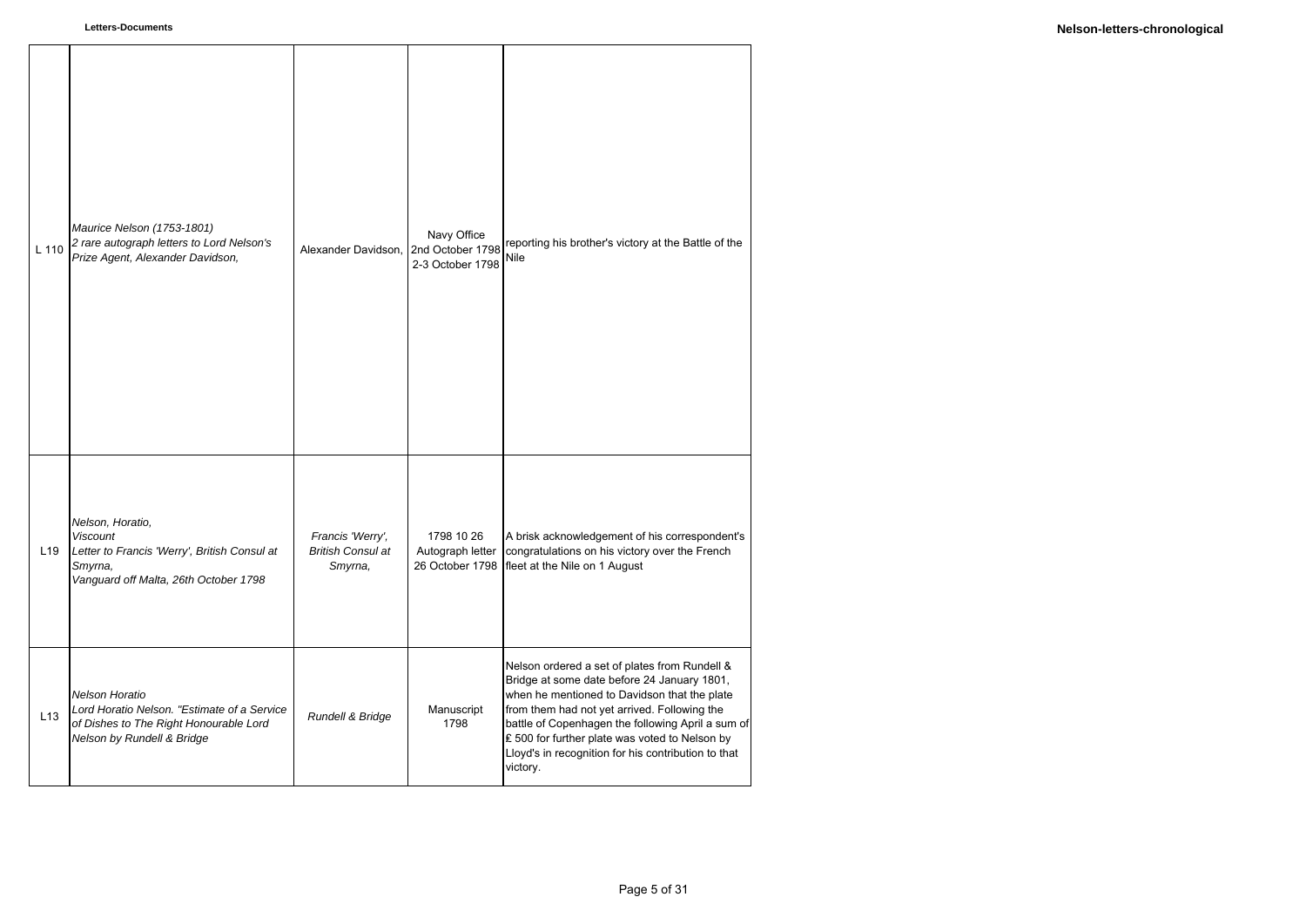| L 110           | Maurice Nelson (1753-1801)<br>2 rare autograph letters to Lord Nelson's<br>Prize Agent, Alexander Davidson,                             | Alexander Davidson.                                     | Navy Office<br>2nd October 1798<br>2-3 October 1798 | reporting his brother's victory at the Battle of the<br>Nile                                                                                                                                                                                                                                                                                                           |
|-----------------|-----------------------------------------------------------------------------------------------------------------------------------------|---------------------------------------------------------|-----------------------------------------------------|------------------------------------------------------------------------------------------------------------------------------------------------------------------------------------------------------------------------------------------------------------------------------------------------------------------------------------------------------------------------|
| L <sub>19</sub> | Nelson, Horatio,<br><b>Viscount</b><br>Letter to Francis 'Werry', British Consul at<br>Smyrna,<br>Vanguard off Malta, 26th October 1798 | Francis 'Werry',<br><b>British Consul at</b><br>Smyrna, | 1798 10 26<br>Autograph letter<br>26 October 1798   | A brisk acknowledgement of his correspondent's<br>congratulations on his victory over the French<br>fleet at the Nile on 1 August                                                                                                                                                                                                                                      |
| L13             | Nelson Horatio<br>Lord Horatio Nelson. "Estimate of a Service<br>of Dishes to The Right Honourable Lord<br>Nelson by Rundell & Bridge   | Rundell & Bridge                                        | Manuscript<br>1798                                  | Nelson ordered a set of plates from Rundell &<br>Bridge at some date before 24 January 1801,<br>when he mentioned to Davidson that the plate<br>from them had not yet arrived. Following the<br>battle of Copenhagen the following April a sum of<br>₤ 500 for further plate was voted to Nelson by<br>Lloyd's in recognition for his contribution to that<br>victory. |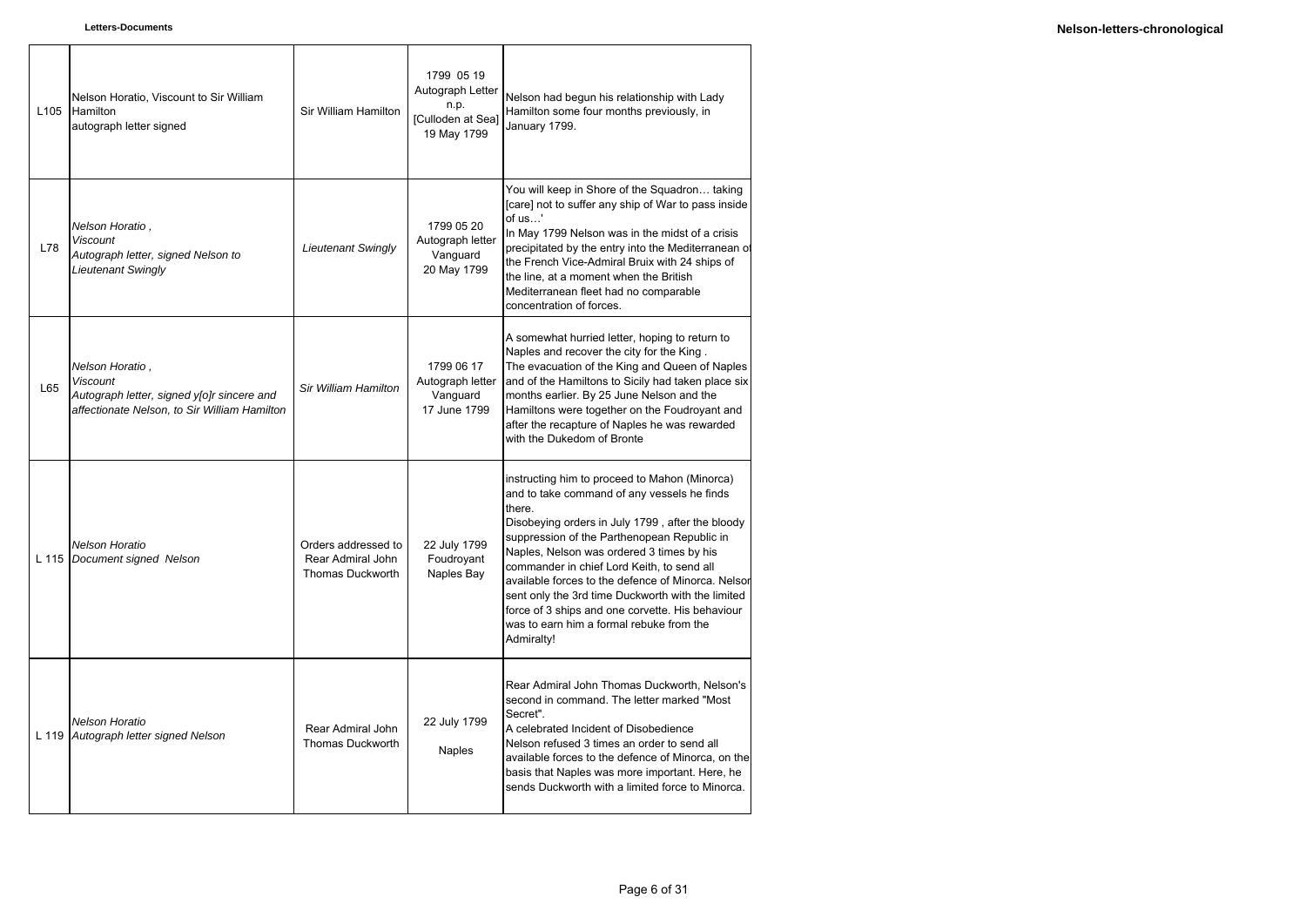| L <sub>105</sub> | Nelson Horatio, Viscount to Sir William<br>Hamilton<br>autograph letter signed                                            | Sir William Hamilton                                                | 1799 05 19<br>Autograph Letter<br>n.p.<br>[Culloden at Sea]<br>19 May 1799 | Nelson had begun his relationship with Lady<br>Hamilton some four months previously, in<br>January 1799.                                                                                                                                                                                                                                                                                                                                                                                                                      |
|------------------|---------------------------------------------------------------------------------------------------------------------------|---------------------------------------------------------------------|----------------------------------------------------------------------------|-------------------------------------------------------------------------------------------------------------------------------------------------------------------------------------------------------------------------------------------------------------------------------------------------------------------------------------------------------------------------------------------------------------------------------------------------------------------------------------------------------------------------------|
| L78              | Nelson Horatio,<br>Viscount<br>Autograph letter, signed Nelson to<br>Lieutenant Swingly                                   | <b>Lieutenant Swingly</b>                                           | 1799 05 20<br>Autograph letter<br>Vanguard<br>20 May 1799                  | You will keep in Shore of the Squadron taking<br>[care] not to suffer any ship of War to pass inside<br>of us'<br>In May 1799 Nelson was in the midst of a crisis<br>precipitated by the entry into the Mediterranean of<br>the French Vice-Admiral Bruix with 24 ships of<br>the line, at a moment when the British<br>Mediterranean fleet had no comparable<br>concentration of forces.                                                                                                                                     |
| L65              | Nelson Horatio,<br>Viscount<br>Autograph letter, signed y[o]r sincere and<br>affectionate Nelson, to Sir William Hamilton | Sir William Hamilton                                                | 1799 06 17<br>Autograph letter<br>Vanguard<br>17 June 1799                 | A somewhat hurried letter, hoping to return to<br>Naples and recover the city for the King.<br>The evacuation of the King and Queen of Naples<br>and of the Hamiltons to Sicily had taken place six<br>months earlier. By 25 June Nelson and the<br>Hamiltons were together on the Foudroyant and<br>after the recapture of Naples he was rewarded<br>with the Dukedom of Bronte                                                                                                                                              |
| L 115            | Nelson Horatio<br>Document signed Nelson                                                                                  | Orders addressed to<br>Rear Admiral John<br><b>Thomas Duckworth</b> | 22 July 1799<br>Foudrovant<br>Naples Bay                                   | instructing him to proceed to Mahon (Minorca)<br>and to take command of any vessels he finds<br>there.<br>Disobeying orders in July 1799, after the bloody<br>suppression of the Parthenopean Republic in<br>Naples, Nelson was ordered 3 times by his<br>commander in chief Lord Keith, to send all<br>available forces to the defence of Minorca. Nelsor<br>sent only the 3rd time Duckworth with the limited<br>force of 3 ships and one corvette. His behaviour<br>was to earn him a formal rebuke from the<br>Admiralty! |
| L 119            | <b>Nelson Horatio</b><br>Autograph letter signed Nelson                                                                   | Rear Admiral John<br><b>Thomas Duckworth</b>                        | 22 July 1799<br><b>Naples</b>                                              | Rear Admiral John Thomas Duckworth, Nelson's<br>second in command. The letter marked "Most<br>Secret".<br>A celebrated Incident of Disobedience<br>Nelson refused 3 times an order to send all<br>available forces to the defence of Minorca, on the<br>basis that Naples was more important. Here, he<br>sends Duckworth with a limited force to Minorca.                                                                                                                                                                    |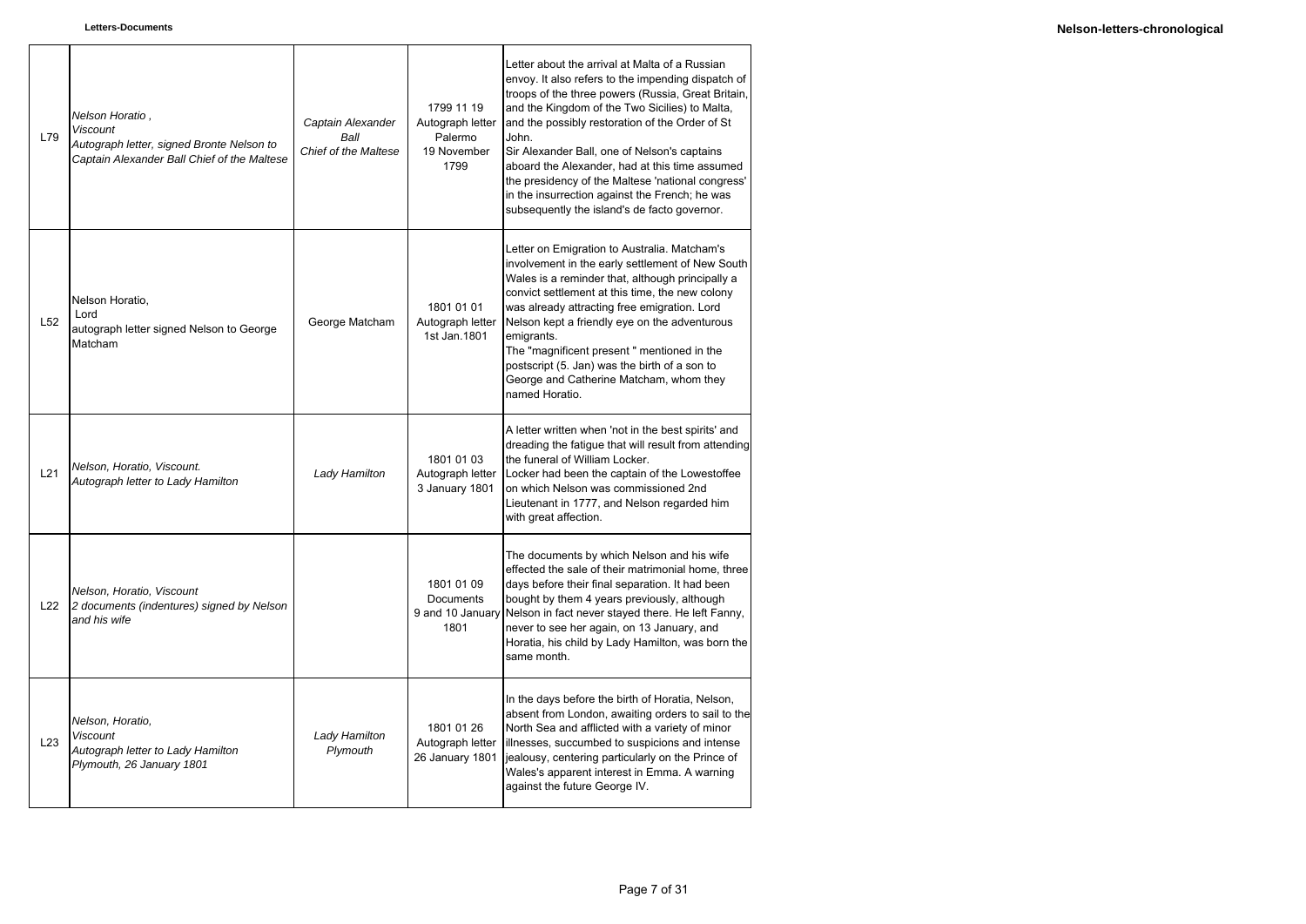| L79             | Nelson Horatio,<br><b>Viscount</b><br>Autograph letter, signed Bronte Nelson to<br>Captain Alexander Ball Chief of the Maltese | Captain Alexander<br>Ball<br>Chief of the Maltese | 1799 11 19<br>Autograph letter<br>Palermo<br>19 November<br>1799 | Letter about the arrival at Malta of a Russian<br>envoy. It also refers to the impending dispatch of<br>troops of the three powers (Russia, Great Britain,<br>and the Kingdom of the Two Sicilies) to Malta,<br>and the possibly restoration of the Order of St<br>John.<br>Sir Alexander Ball, one of Nelson's captains<br>aboard the Alexander, had at this time assumed<br>the presidency of the Maltese 'national congress'<br>in the insurrection against the French; he was<br>subsequently the island's de facto governor. |
|-----------------|--------------------------------------------------------------------------------------------------------------------------------|---------------------------------------------------|------------------------------------------------------------------|-----------------------------------------------------------------------------------------------------------------------------------------------------------------------------------------------------------------------------------------------------------------------------------------------------------------------------------------------------------------------------------------------------------------------------------------------------------------------------------------------------------------------------------|
| L <sub>52</sub> | Nelson Horatio,<br>Lord<br>autograph letter signed Nelson to George<br>Matcham                                                 | George Matcham                                    | 1801 01 01<br>Autograph letter<br>1st Jan. 1801                  | Letter on Emigration to Australia. Matcham's<br>involvement in the early settlement of New South<br>Wales is a reminder that, although principally a<br>convict settlement at this time, the new colony<br>was already attracting free emigration. Lord<br>Nelson kept a friendly eye on the adventurous<br>emigrants.<br>The "magnificent present" mentioned in the<br>postscript (5. Jan) was the birth of a son to<br>George and Catherine Matcham, whom they<br>named Horatio.                                                |
| L21             | Nelson, Horatio, Viscount.<br>Autograph letter to Lady Hamilton                                                                | Lady Hamilton                                     | 1801 01 03<br>Autograph letter<br>3 January 1801                 | A letter written when 'not in the best spirits' and<br>dreading the fatigue that will result from attending<br>the funeral of William Locker.<br>Locker had been the captain of the Lowestoffee<br>on which Nelson was commissioned 2nd<br>Lieutenant in 1777, and Nelson regarded him<br>with great affection.                                                                                                                                                                                                                   |
| L22             | Nelson, Horatio, Viscount<br>2 documents (indentures) signed by Nelson<br>and his wife                                         |                                                   | 1801 01 09<br><b>Documents</b><br>9 and 10 January<br>1801       | The documents by which Nelson and his wife<br>effected the sale of their matrimonial home, three<br>days before their final separation. It had been<br>bought by them 4 years previously, although<br>Nelson in fact never stayed there. He left Fanny,<br>never to see her again, on 13 January, and<br>Horatia, his child by Lady Hamilton, was born the<br>same month.                                                                                                                                                         |
| L23             | Nelson, Horatio,<br><b>Viscount</b><br>Autograph letter to Lady Hamilton<br>Plymouth, 26 January 1801                          | Lady Hamilton<br>Plymouth                         | 1801 01 26<br>Autograph letter<br>26 January 1801                | In the days before the birth of Horatia, Nelson,<br>absent from London, awaiting orders to sail to the<br>North Sea and afflicted with a variety of minor<br>illnesses, succumbed to suspicions and intense<br>jealousy, centering particularly on the Prince of<br>Wales's apparent interest in Emma. A warning<br>against the future George IV.                                                                                                                                                                                 |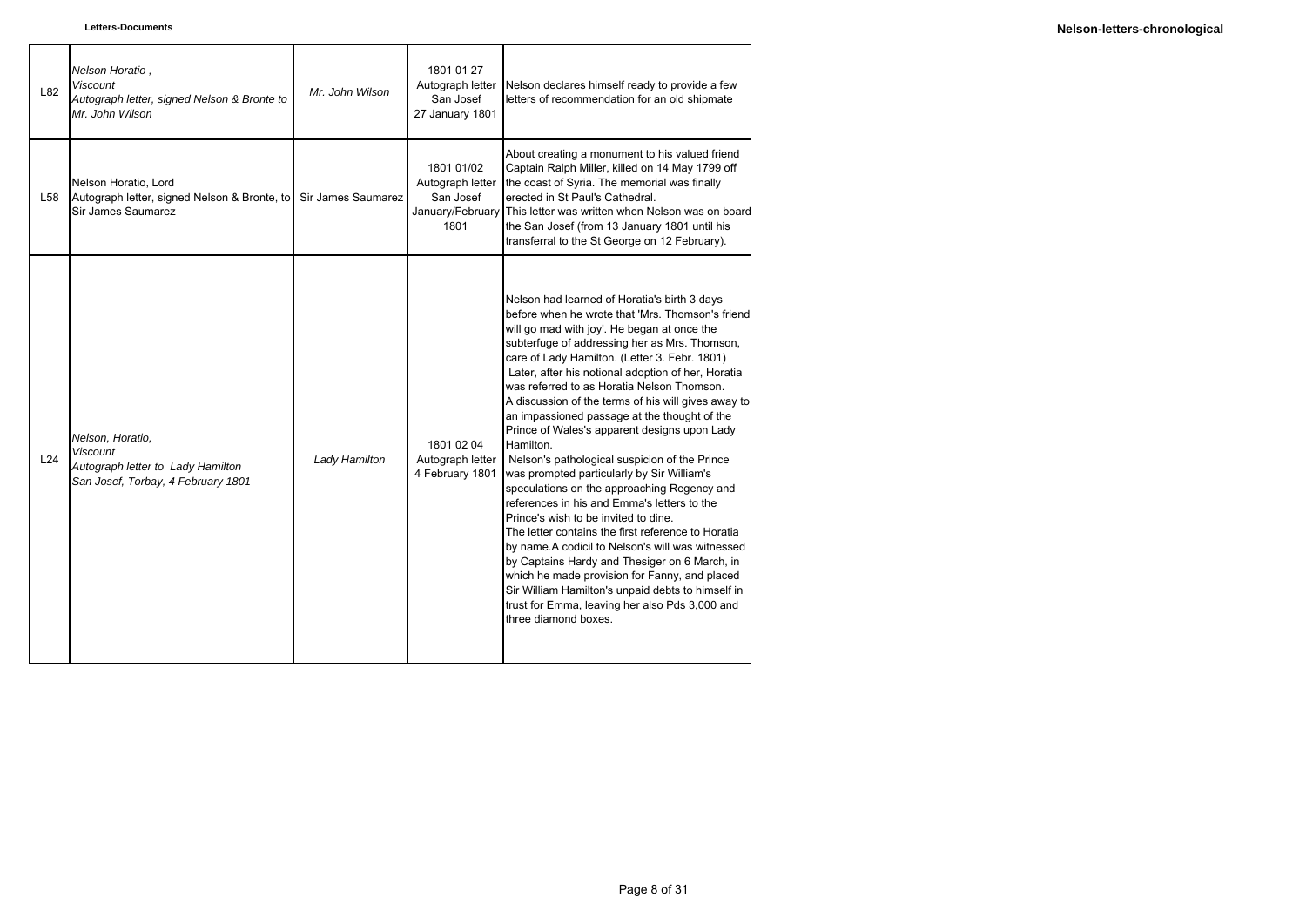| L82 | Nelson Horatio,<br><b>Viscount</b><br>Autograph letter, signed Nelson & Bronte to<br>Mr. John Wilson           | Mr. John Wilson    | 1801 01 27<br>Autograph letter<br>San Josef<br>27 January 1801 | Nelson declares himself ready to provide a few<br>letters of recommendation for an old shipmate                                                                                                                                                                                                                                                                                                                                                                                                                                                                                                                                                                                                                                                                                                                                                                                                                                                                                                                                                                                                           |
|-----|----------------------------------------------------------------------------------------------------------------|--------------------|----------------------------------------------------------------|-----------------------------------------------------------------------------------------------------------------------------------------------------------------------------------------------------------------------------------------------------------------------------------------------------------------------------------------------------------------------------------------------------------------------------------------------------------------------------------------------------------------------------------------------------------------------------------------------------------------------------------------------------------------------------------------------------------------------------------------------------------------------------------------------------------------------------------------------------------------------------------------------------------------------------------------------------------------------------------------------------------------------------------------------------------------------------------------------------------|
| L58 | Nelson Horatio, Lord<br>Autograph letter, signed Nelson & Bronte, to<br>Sir James Saumarez                     | Sir James Saumarez | 1801 01/02<br>Autograph letter<br>San Josef<br>1801            | About creating a monument to his valued friend<br>Captain Ralph Miller, killed on 14 May 1799 off<br>the coast of Syria. The memorial was finally<br>erected in St Paul's Cathedral.<br>January/February This letter was written when Nelson was on board<br>the San Josef (from 13 January 1801 until his<br>transferral to the St George on 12 February).                                                                                                                                                                                                                                                                                                                                                                                                                                                                                                                                                                                                                                                                                                                                               |
| L24 | Nelson, Horatio,<br><b>Viscount</b><br>Autograph letter to Lady Hamilton<br>San Josef, Torbay, 4 February 1801 | Lady Hamilton      | 1801 02 04<br>Autograph letter<br>4 February 1801              | Nelson had learned of Horatia's birth 3 days<br>before when he wrote that 'Mrs. Thomson's friend<br>will go mad with joy'. He began at once the<br>subterfuge of addressing her as Mrs. Thomson,<br>care of Lady Hamilton. (Letter 3. Febr. 1801)<br>Later, after his notional adoption of her, Horatia<br>was referred to as Horatia Nelson Thomson.<br>A discussion of the terms of his will gives away to<br>an impassioned passage at the thought of the<br>Prince of Wales's apparent designs upon Lady<br>Hamilton.<br>Nelson's pathological suspicion of the Prince<br>was prompted particularly by Sir William's<br>speculations on the approaching Regency and<br>references in his and Emma's letters to the<br>Prince's wish to be invited to dine.<br>The letter contains the first reference to Horatia<br>by name.A codicil to Nelson's will was witnessed<br>by Captains Hardy and Thesiger on 6 March, in<br>which he made provision for Fanny, and placed<br>Sir William Hamilton's unpaid debts to himself in<br>trust for Emma, leaving her also Pds 3,000 and<br>three diamond boxes. |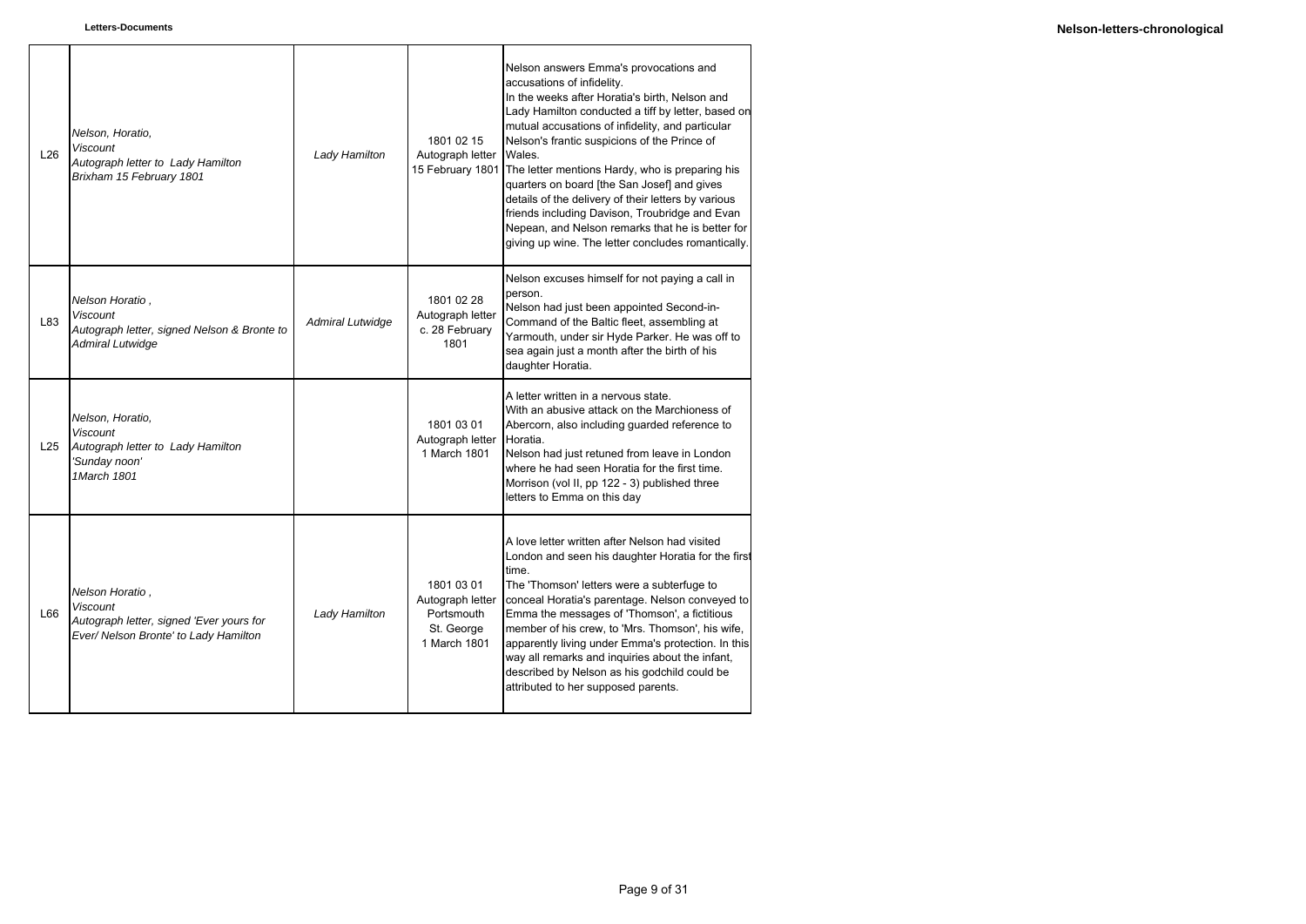| L26 | Nelson, Horatio,<br><b>Viscount</b><br>Autograph letter to Lady Hamilton<br>Brixham 15 February 1801                    | Lady Hamilton           | 1801 02 15<br>Autograph letter<br>15 February 1801                         | Nelson answers Emma's provocations and<br>accusations of infidelity.<br>In the weeks after Horatia's birth, Nelson and<br>Lady Hamilton conducted a tiff by letter, based on<br>mutual accusations of infidelity, and particular<br>Nelson's frantic suspicions of the Prince of<br>Wales.<br>The letter mentions Hardy, who is preparing his<br>quarters on board [the San Josef] and gives<br>details of the delivery of their letters by various<br>friends including Davison, Troubridge and Evan<br>Nepean, and Nelson remarks that he is better for<br>giving up wine. The letter concludes romantically. |
|-----|-------------------------------------------------------------------------------------------------------------------------|-------------------------|----------------------------------------------------------------------------|-----------------------------------------------------------------------------------------------------------------------------------------------------------------------------------------------------------------------------------------------------------------------------------------------------------------------------------------------------------------------------------------------------------------------------------------------------------------------------------------------------------------------------------------------------------------------------------------------------------------|
| L83 | Nelson Horatio,<br><b>Viscount</b><br>Autograph letter, signed Nelson & Bronte to<br>Admiral Lutwidge                   | <b>Admiral Lutwidge</b> | 1801 02 28<br>Autograph letter<br>c. 28 February<br>1801                   | Nelson excuses himself for not paying a call in<br>person.<br>Nelson had just been appointed Second-in-<br>Command of the Baltic fleet, assembling at<br>Yarmouth, under sir Hyde Parker. He was off to<br>sea again just a month after the birth of his<br>daughter Horatia.                                                                                                                                                                                                                                                                                                                                   |
| L25 | Nelson, Horatio,<br><b>Viscount</b><br>Autograph letter to Lady Hamilton<br>'Sunday noon'<br>1March 1801                |                         | 1801 03 01<br>Autograph letter<br>1 March 1801                             | A letter written in a nervous state.<br>With an abusive attack on the Marchioness of<br>Abercorn, also including guarded reference to<br>Horatia.<br>Nelson had just retuned from leave in London<br>where he had seen Horatia for the first time.<br>Morrison (vol II, pp 122 - 3) published three<br>letters to Emma on this day                                                                                                                                                                                                                                                                              |
| L66 | Nelson Horatio,<br><b>Viscount</b><br>Autograph letter, signed 'Ever yours for<br>Ever/ Nelson Bronte' to Lady Hamilton | Lady Hamilton           | 1801 03 01<br>Autograph letter<br>Portsmouth<br>St. George<br>1 March 1801 | A love letter written after Nelson had visited<br>London and seen his daughter Horatia for the first<br>time.<br>The 'Thomson' letters were a subterfuge to<br>conceal Horatia's parentage. Nelson conveyed to<br>Emma the messages of 'Thomson', a fictitious<br>member of his crew, to 'Mrs. Thomson', his wife,<br>apparently living under Emma's protection. In this<br>way all remarks and inquiries about the infant,<br>described by Nelson as his godchild could be<br>attributed to her supposed parents.                                                                                              |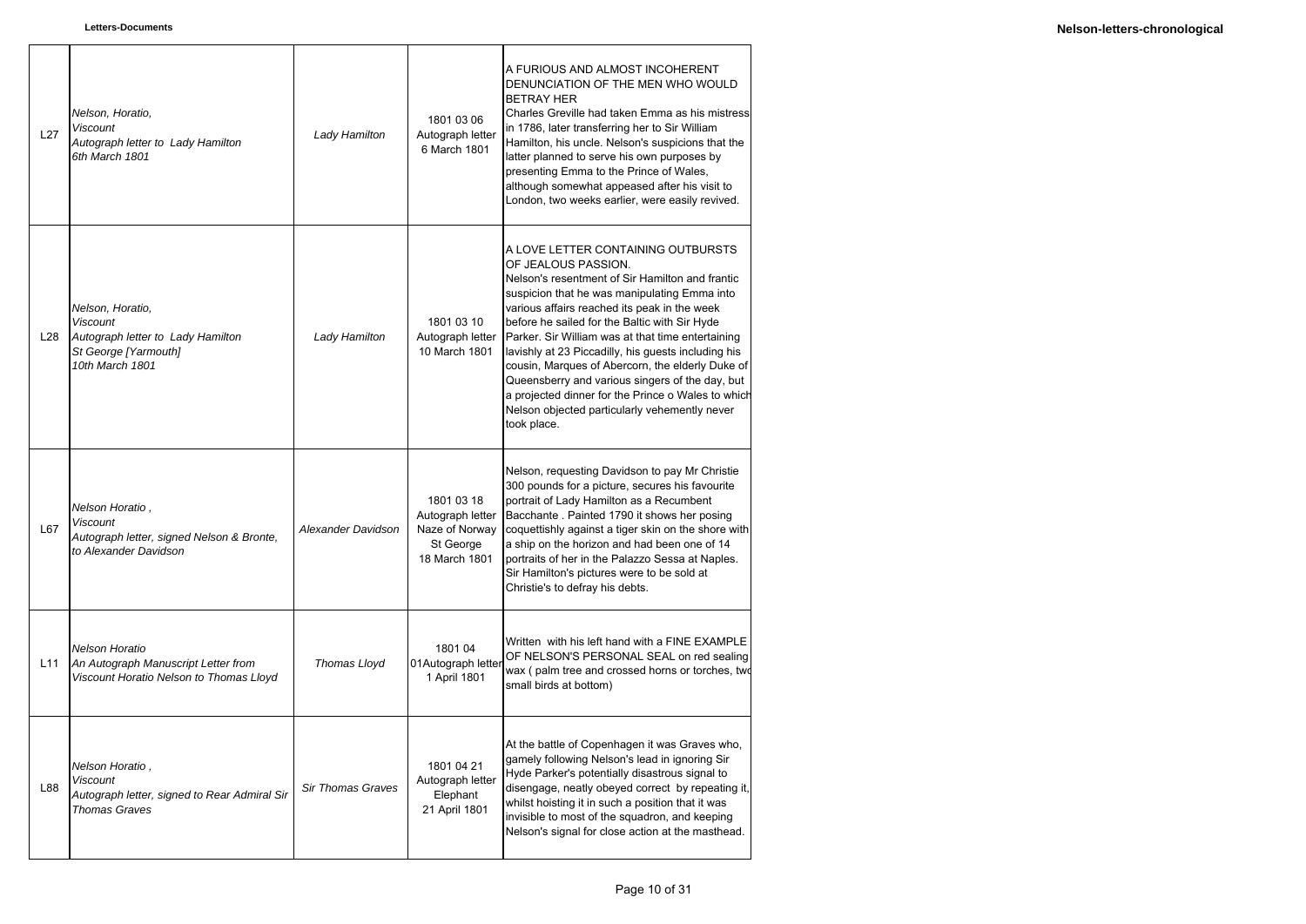| L27 | Nelson, Horatio,<br><b>Viscount</b><br>Autograph letter to Lady Hamilton<br>6th March 1801                          | Lady Hamilton            | 1801 03 06<br>Autograph letter<br>6 March 1801                                 | A FURIOUS AND ALMOST INCOHERENT<br>DENUNCIATION OF THE MEN WHO WOULD<br><b>BETRAY HER</b><br>Charles Greville had taken Emma as his mistress<br>in 1786, later transferring her to Sir William<br>Hamilton, his uncle. Nelson's suspicions that the<br>latter planned to serve his own purposes by<br>presenting Emma to the Prince of Wales,<br>although somewhat appeased after his visit to<br>London, two weeks earlier, were easily revived.                                                                                                                                                      |
|-----|---------------------------------------------------------------------------------------------------------------------|--------------------------|--------------------------------------------------------------------------------|--------------------------------------------------------------------------------------------------------------------------------------------------------------------------------------------------------------------------------------------------------------------------------------------------------------------------------------------------------------------------------------------------------------------------------------------------------------------------------------------------------------------------------------------------------------------------------------------------------|
| L28 | Nelson, Horatio,<br><b>Viscount</b><br>Autograph letter to Lady Hamilton<br>St George [Yarmouth]<br>10th March 1801 | Lady Hamilton            | 1801 03 10<br>Autograph letter<br>10 March 1801                                | A LOVE LETTER CONTAINING OUTBURSTS<br>OF JEALOUS PASSION.<br>Nelson's resentment of Sir Hamilton and frantic<br>suspicion that he was manipulating Emma into<br>various affairs reached its peak in the week<br>before he sailed for the Baltic with Sir Hyde<br>Parker. Sir William was at that time entertaining<br>lavishly at 23 Piccadilly, his guests including his<br>cousin, Marques of Abercorn, the elderly Duke of<br>Queensberry and various singers of the day, but<br>a projected dinner for the Prince o Wales to which<br>Nelson objected particularly vehemently never<br>took place. |
| L67 | Nelson Horatio,<br><b>Viscount</b><br>Autograph letter, signed Nelson & Bronte,<br>to Alexander Davidson            | Alexander Davidson       | 1801 03 18<br>Autograph letter<br>Naze of Norway<br>St George<br>18 March 1801 | Nelson, requesting Davidson to pay Mr Christie<br>300 pounds for a picture, secures his favourite<br>portrait of Lady Hamilton as a Recumbent<br>Bacchante . Painted 1790 it shows her posing<br>coquettishly against a tiger skin on the shore with<br>a ship on the horizon and had been one of 14<br>portraits of her in the Palazzo Sessa at Naples.<br>Sir Hamilton's pictures were to be sold at<br>Christie's to defray his debts.                                                                                                                                                              |
| L11 | Nelson Horatio<br>An Autograph Manuscript Letter from<br>Viscount Horatio Nelson to Thomas Lloyd                    | Thomas Lloyd             | 1801 04<br>01Autograph letter<br>1 April 1801                                  | Written with his left hand with a FINE EXAMPLE<br>OF NELSON'S PERSONAL SEAL on red sealing<br>wax (palm tree and crossed horns or torches, two<br>small birds at bottom)                                                                                                                                                                                                                                                                                                                                                                                                                               |
| L88 | Nelson Horatio,<br><b>Viscount</b><br>Autograph letter, signed to Rear Admiral Sir<br><b>Thomas Graves</b>          | <b>Sir Thomas Graves</b> | 1801 04 21<br>Autograph letter<br>Elephant<br>21 April 1801                    | At the battle of Copenhagen it was Graves who,<br>gamely following Nelson's lead in ignoring Sir<br>Hyde Parker's potentially disastrous signal to<br>disengage, neatly obeyed correct by repeating it,<br>whilst hoisting it in such a position that it was<br>invisible to most of the squadron, and keeping<br>Nelson's signal for close action at the masthead.                                                                                                                                                                                                                                    |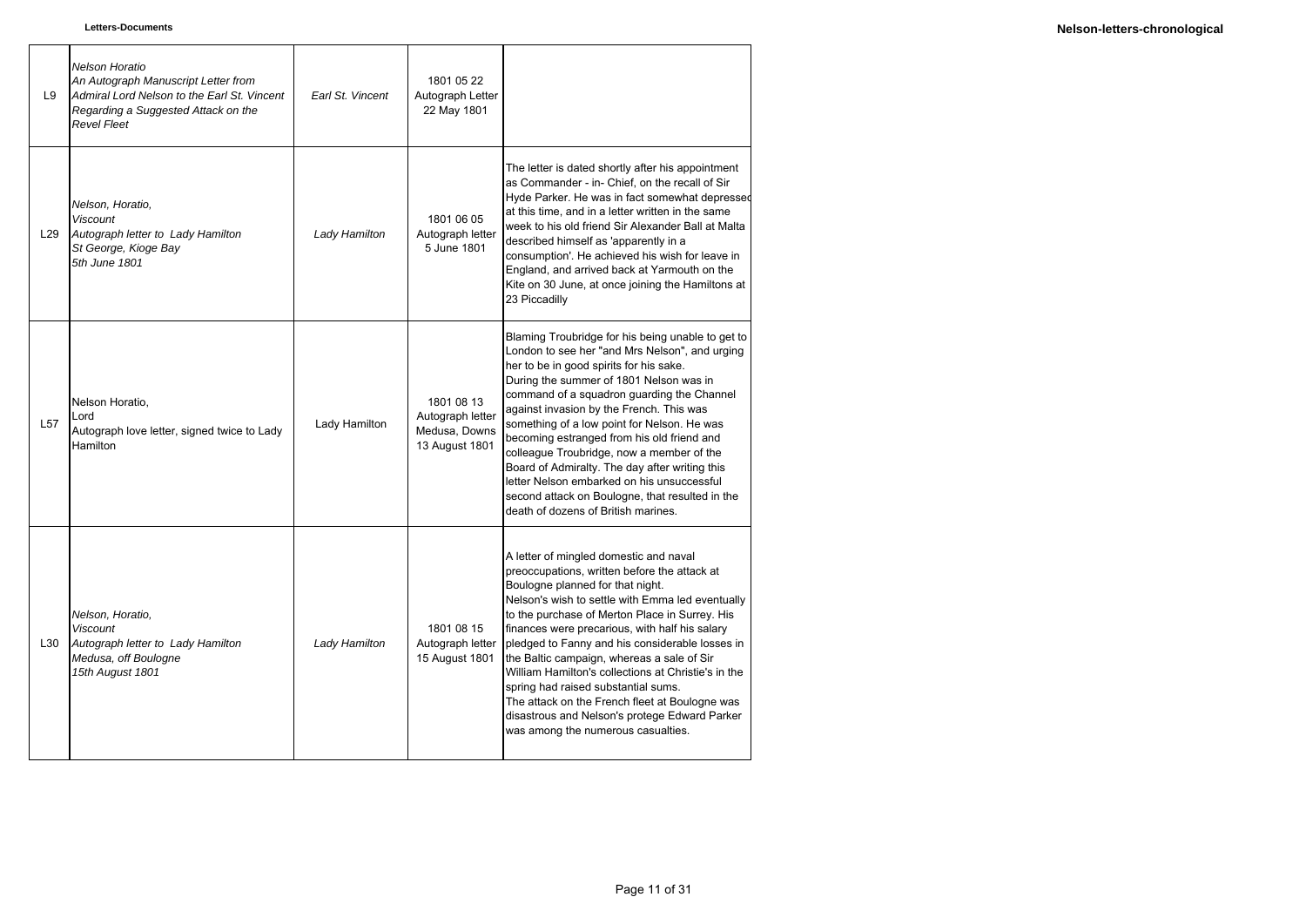| L9              | <b>Nelson Horatio</b><br>An Autograph Manuscript Letter from<br>Admiral Lord Nelson to the Earl St. Vincent<br>Regarding a Suggested Attack on the<br><b>Revel Fleet</b> | Earl St. Vincent | 1801 05 22<br>Autograph Letter<br>22 May 1801                     |                                                                                                                                                                                                                                                                                                                                                                                                                                                                                                                                                                                                                            |
|-----------------|--------------------------------------------------------------------------------------------------------------------------------------------------------------------------|------------------|-------------------------------------------------------------------|----------------------------------------------------------------------------------------------------------------------------------------------------------------------------------------------------------------------------------------------------------------------------------------------------------------------------------------------------------------------------------------------------------------------------------------------------------------------------------------------------------------------------------------------------------------------------------------------------------------------------|
| L <sub>29</sub> | Nelson, Horatio,<br><b>Viscount</b><br>Autograph letter to Lady Hamilton<br>St George, Kioge Bay<br>5th June 1801                                                        | Lady Hamilton    | 1801 06 05<br>Autograph letter<br>5 June 1801                     | The letter is dated shortly after his appointment<br>as Commander - in- Chief, on the recall of Sir<br>Hyde Parker. He was in fact somewhat depressed<br>at this time, and in a letter written in the same<br>week to his old friend Sir Alexander Ball at Malta<br>described himself as 'apparently in a<br>consumption'. He achieved his wish for leave in<br>England, and arrived back at Yarmouth on the<br>Kite on 30 June, at once joining the Hamiltons at<br>23 Piccadilly                                                                                                                                         |
| L <sub>57</sub> | Nelson Horatio,<br>Lord<br>Autograph love letter, signed twice to Lady<br>Hamilton                                                                                       | Lady Hamilton    | 1801 08 13<br>Autograph letter<br>Medusa, Downs<br>13 August 1801 | Blaming Troubridge for his being unable to get to<br>London to see her "and Mrs Nelson", and urging<br>her to be in good spirits for his sake.<br>During the summer of 1801 Nelson was in<br>command of a squadron guarding the Channel<br>against invasion by the French. This was<br>something of a low point for Nelson. He was<br>becoming estranged from his old friend and<br>colleague Troubridge, now a member of the<br>Board of Admiralty. The day after writing this<br>letter Nelson embarked on his unsuccessful<br>second attack on Boulogne, that resulted in the<br>death of dozens of British marines.    |
| L30             | Nelson, Horatio,<br><b>Viscount</b><br>Autograph letter to Lady Hamilton<br>Medusa, off Boulogne<br>15th August 1801                                                     | Lady Hamilton    | 1801 08 15<br>Autograph letter<br>15 August 1801                  | A letter of mingled domestic and naval<br>preoccupations, written before the attack at<br>Boulogne planned for that night.<br>Nelson's wish to settle with Emma led eventually<br>to the purchase of Merton Place in Surrey. His<br>finances were precarious, with half his salary<br>pledged to Fanny and his considerable losses in<br>the Baltic campaign, whereas a sale of Sir<br>William Hamilton's collections at Christie's in the<br>spring had raised substantial sums.<br>The attack on the French fleet at Boulogne was<br>disastrous and Nelson's protege Edward Parker<br>was among the numerous casualties. |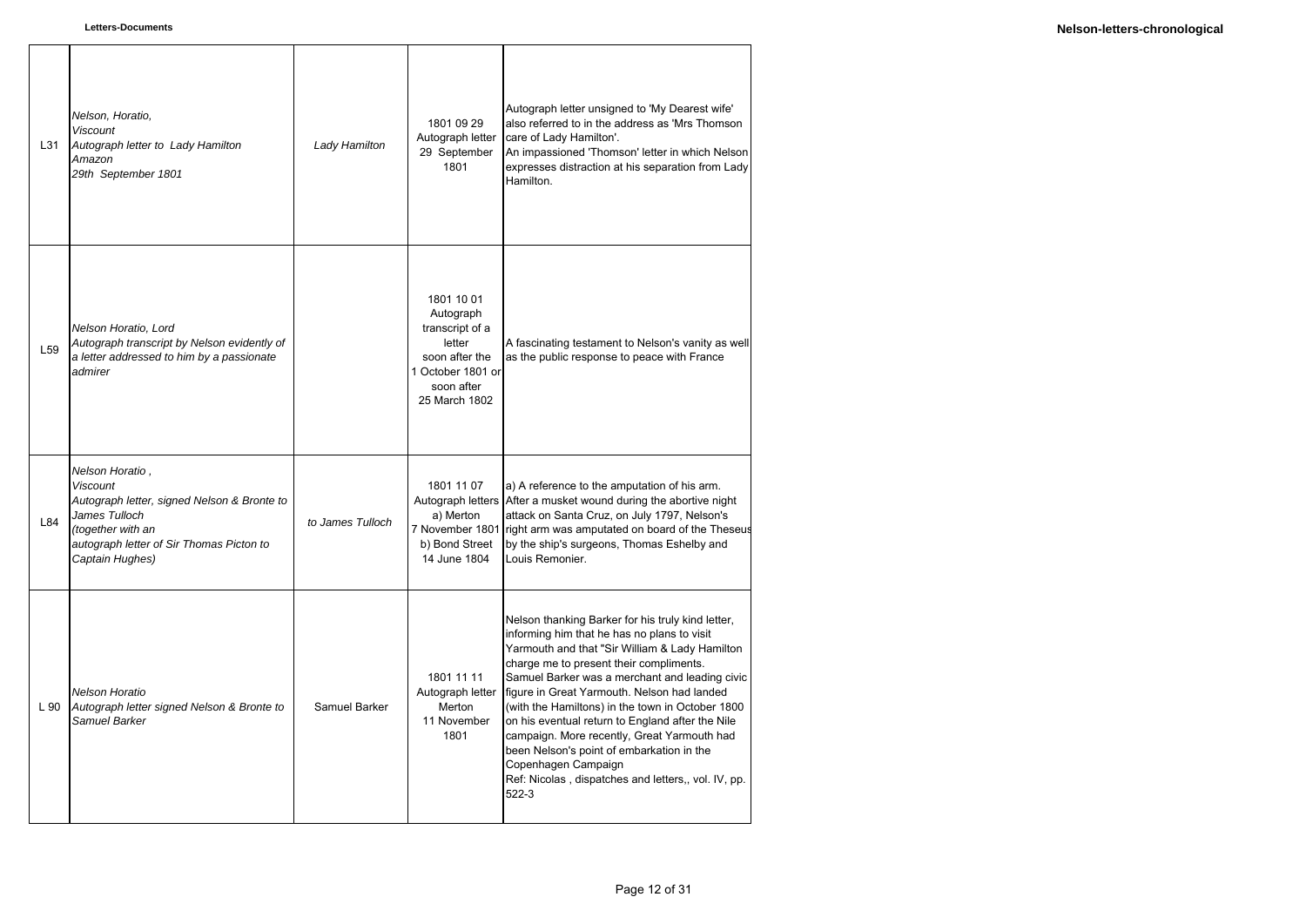| L31             | Nelson, Horatio,<br><b>Viscount</b><br>Autograph letter to Lady Hamilton<br>Amazon<br>29th September 1801                                                                              | Lady Hamilton    | 1801 09 29<br>Autograph letter<br>29 September<br>1801                                                                     | Autograph letter unsigned to 'My Dearest wife'<br>also referred to in the address as 'Mrs Thomson<br>care of Lady Hamilton'.<br>An impassioned 'Thomson' letter in which Nelson<br>expresses distraction at his separation from Lady<br>Hamilton.                                                                                                                                                                                                                                                                                                                                         |
|-----------------|----------------------------------------------------------------------------------------------------------------------------------------------------------------------------------------|------------------|----------------------------------------------------------------------------------------------------------------------------|-------------------------------------------------------------------------------------------------------------------------------------------------------------------------------------------------------------------------------------------------------------------------------------------------------------------------------------------------------------------------------------------------------------------------------------------------------------------------------------------------------------------------------------------------------------------------------------------|
| L <sub>59</sub> | Nelson Horatio, Lord<br>Autograph transcript by Nelson evidently of<br>a letter addressed to him by a passionate<br>admirer                                                            |                  | 1801 10 01<br>Autograph<br>transcript of a<br>letter<br>soon after the<br>1 October 1801 or<br>soon after<br>25 March 1802 | A fascinating testament to Nelson's vanity as well<br>as the public response to peace with France                                                                                                                                                                                                                                                                                                                                                                                                                                                                                         |
| L84             | Nelson Horatio,<br><b>Viscount</b><br>Autograph letter, signed Nelson & Bronte to<br>James Tulloch<br>(together with an<br>autograph letter of Sir Thomas Picton to<br>Captain Hughes) | to James Tulloch | 1801 11 07<br>a) Merton<br>b) Bond Street<br>14 June 1804                                                                  | a) A reference to the amputation of his arm.<br>Autograph letters After a musket wound during the abortive night<br>attack on Santa Cruz, on July 1797, Nelson's<br>7 November 1801 right arm was amputated on board of the Theseus<br>by the ship's surgeons, Thomas Eshelby and<br>Louis Remonier.                                                                                                                                                                                                                                                                                      |
| L 90            | <b>Nelson Horatio</b><br>Autograph letter signed Nelson & Bronte to<br>Samuel Barker                                                                                                   | Samuel Barker    | 1801 11 11<br>Autograph letter<br>Merton<br>11 November<br>1801                                                            | Nelson thanking Barker for his truly kind letter,<br>informing him that he has no plans to visit<br>Yarmouth and that "Sir William & Lady Hamilton<br>charge me to present their compliments.<br>Samuel Barker was a merchant and leading civic<br>figure in Great Yarmouth. Nelson had landed<br>(with the Hamiltons) in the town in October 1800<br>on his eventual return to England after the Nile<br>campaign. More recently, Great Yarmouth had<br>been Nelson's point of embarkation in the<br>Copenhagen Campaign<br>Ref: Nicolas, dispatches and letters,, vol. IV, pp.<br>522-3 |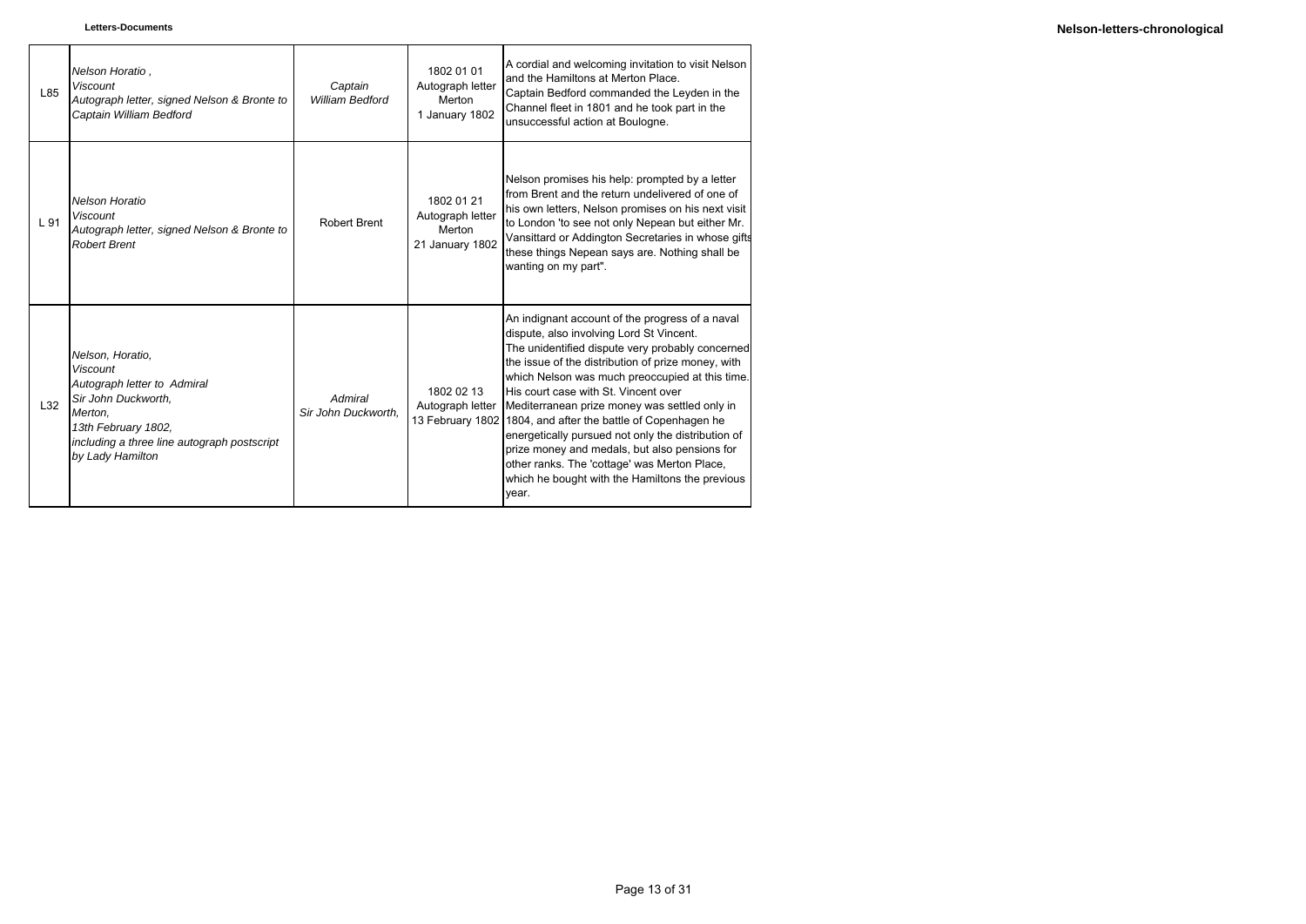| L85 | Nelson Horatio.<br><b>Viscount</b><br>Autograph letter, signed Nelson & Bronte to<br>Captain William Bedford                                                                            | Captain<br><b>William Bedford</b> | 1802 01 01<br>Autograph letter<br>Merton<br>1 January 1802  | A cordial and welcoming invitation to visit Nelson<br>and the Hamiltons at Merton Place.<br>Captain Bedford commanded the Leyden in the<br>Channel fleet in 1801 and he took part in the<br>unsuccessful action at Boulogne.                                                                                                                                                                                                                                                                                                                                                                                                         |
|-----|-----------------------------------------------------------------------------------------------------------------------------------------------------------------------------------------|-----------------------------------|-------------------------------------------------------------|--------------------------------------------------------------------------------------------------------------------------------------------------------------------------------------------------------------------------------------------------------------------------------------------------------------------------------------------------------------------------------------------------------------------------------------------------------------------------------------------------------------------------------------------------------------------------------------------------------------------------------------|
| L91 | Nelson Horatio<br><b>Viscount</b><br>Autograph letter, signed Nelson & Bronte to<br><b>Robert Brent</b>                                                                                 | Robert Brent                      | 1802 01 21<br>Autograph letter<br>Merton<br>21 January 1802 | Nelson promises his help: prompted by a letter<br>from Brent and the return undelivered of one of<br>his own letters, Nelson promises on his next visit<br>to London 'to see not only Nepean but either Mr.<br>Vansittard or Addington Secretaries in whose gifts<br>these things Nepean says are. Nothing shall be<br>wanting on my part".                                                                                                                                                                                                                                                                                          |
| L32 | Nelson, Horatio,<br>Viscount<br>Autograph letter to Admiral<br>Sir John Duckworth.<br>Merton.<br>13th February 1802,<br>including a three line autograph postscript<br>by Lady Hamilton | Admiral<br>Sir John Duckworth.    | 1802 02 13<br>Autograph letter                              | An indignant account of the progress of a naval<br>dispute, also involving Lord St Vincent.<br>The unidentified dispute very probably concerned<br>the issue of the distribution of prize money, with<br>which Nelson was much preoccupied at this time.<br>His court case with St. Vincent over<br>Mediterranean prize money was settled only in<br>13 February 1802 1804, and after the battle of Copenhagen he<br>energetically pursued not only the distribution of<br>prize money and medals, but also pensions for<br>other ranks. The 'cottage' was Merton Place,<br>which he bought with the Hamiltons the previous<br>vear. |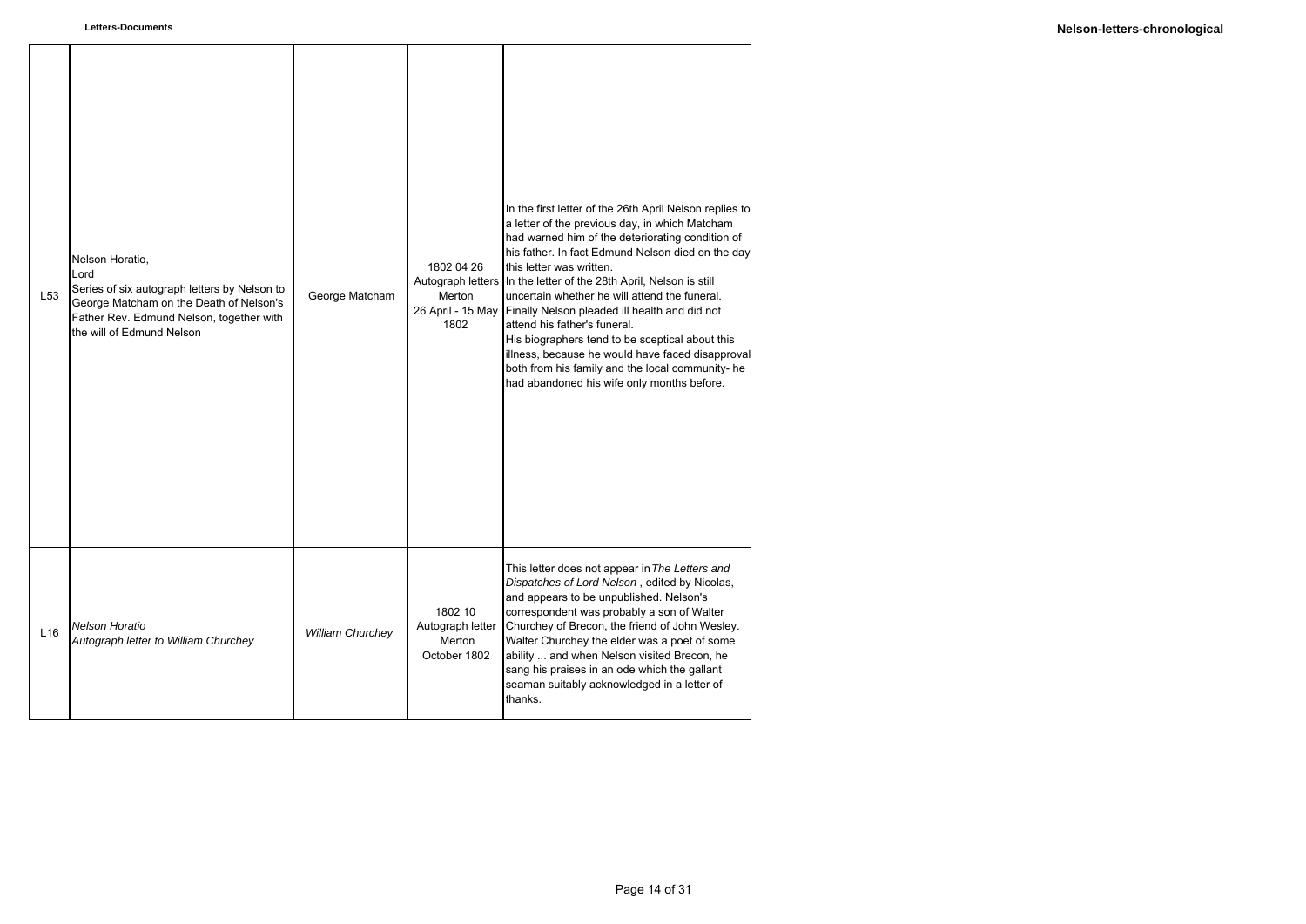| L <sub>53</sub> | Nelson Horatio,<br>Lord<br>Series of six autograph letters by Nelson to<br>George Matcham on the Death of Nelson's<br>Father Rev. Edmund Nelson, together with<br>the will of Edmund Nelson | George Matcham          | 1802 04 26<br>Autograph letters<br>Merton<br>26 April - 15 May<br>1802 | In the first letter of the 26th April Nelson replies to<br>a letter of the previous day, in which Matcham<br>had warned him of the deteriorating condition of<br>his father. In fact Edmund Nelson died on the day<br>this letter was written.<br>In the letter of the 28th April, Nelson is still<br>uncertain whether he will attend the funeral.<br>Finally Nelson pleaded ill health and did not<br>attend his father's funeral.<br>His biographers tend to be sceptical about this<br>illness, because he would have faced disapproval<br>both from his family and the local community- he<br>had abandoned his wife only months before. |
|-----------------|---------------------------------------------------------------------------------------------------------------------------------------------------------------------------------------------|-------------------------|------------------------------------------------------------------------|-----------------------------------------------------------------------------------------------------------------------------------------------------------------------------------------------------------------------------------------------------------------------------------------------------------------------------------------------------------------------------------------------------------------------------------------------------------------------------------------------------------------------------------------------------------------------------------------------------------------------------------------------|
| L16             | <b>Nelson Horatio</b><br>Autograph letter to William Churchey                                                                                                                               | <b>William Churchey</b> | 1802 10<br>Autograph letter<br>Merton<br>October 1802                  | This letter does not appear in The Letters and<br>Dispatches of Lord Nelson, edited by Nicolas,<br>and appears to be unpublished. Nelson's<br>correspondent was probably a son of Walter<br>Churchey of Brecon, the friend of John Wesley.<br>Walter Churchey the elder was a poet of some<br>ability  and when Nelson visited Brecon, he<br>sang his praises in an ode which the gallant<br>seaman suitably acknowledged in a letter of<br>thanks.                                                                                                                                                                                           |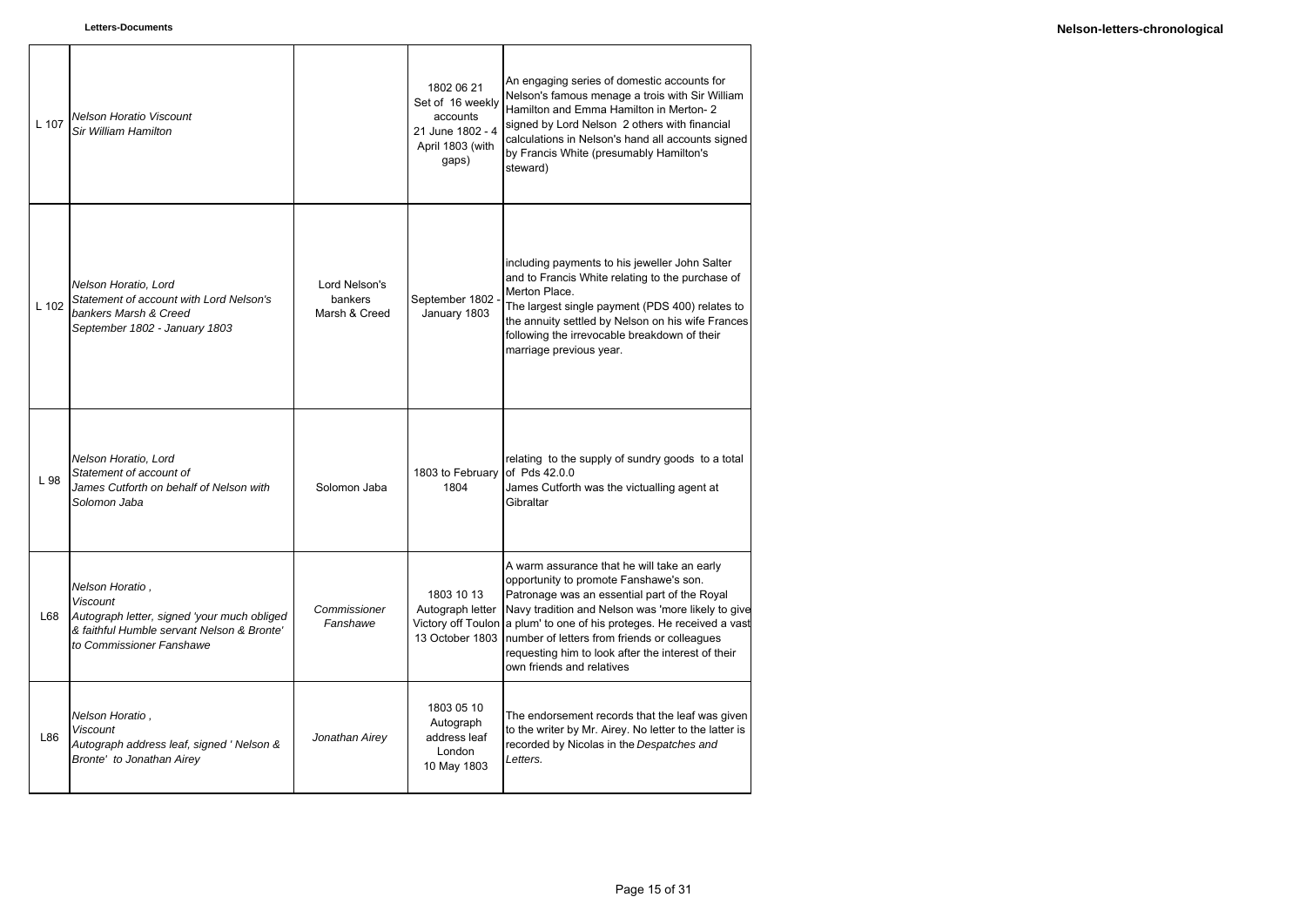| L 107 | Nelson Horatio Viscount<br>Sir William Hamilton                                                                                                             |                                           | 1802 06 21<br>Set of 16 weekly<br>accounts<br>21 June 1802 - 4<br>April 1803 (with<br>gaps) | An engaging series of domestic accounts for<br>Nelson's famous menage a trois with Sir William<br>Hamilton and Emma Hamilton in Merton-2<br>signed by Lord Nelson 2 others with financial<br>calculations in Nelson's hand all accounts signed<br>by Francis White (presumably Hamilton's<br>steward)                                                                                |
|-------|-------------------------------------------------------------------------------------------------------------------------------------------------------------|-------------------------------------------|---------------------------------------------------------------------------------------------|--------------------------------------------------------------------------------------------------------------------------------------------------------------------------------------------------------------------------------------------------------------------------------------------------------------------------------------------------------------------------------------|
| L 102 | Nelson Horatio, Lord<br>Statement of account with Lord Nelson's<br>bankers Marsh & Creed<br>September 1802 - January 1803                                   | Lord Nelson's<br>bankers<br>Marsh & Creed | September 1802<br>January 1803                                                              | including payments to his jeweller John Salter<br>and to Francis White relating to the purchase of<br>Merton Place.<br>The largest single payment (PDS 400) relates to<br>the annuity settled by Nelson on his wife Frances<br>following the irrevocable breakdown of their<br>marriage previous year.                                                                               |
| L 98  | Nelson Horatio, Lord<br>Statement of account of<br>James Cutforth on behalf of Nelson with<br>Solomon Jaba                                                  | Solomon Jaba                              | 1803 to February<br>1804                                                                    | relating to the supply of sundry goods to a total<br>of Pds 42.0.0<br>James Cutforth was the victualling agent at<br>Gibraltar                                                                                                                                                                                                                                                       |
| L68   | Nelson Horatio,<br><b>Viscount</b><br>Autograph letter, signed 'your much obliged<br>& faithful Humble servant Nelson & Bronte'<br>to Commissioner Fanshawe | Commissioner<br>Fanshawe                  | 1803 10 13<br>Autograph letter<br>Victory off Toulon<br>13 October 1803                     | A warm assurance that he will take an early<br>opportunity to promote Fanshawe's son.<br>Patronage was an essential part of the Royal<br>Navy tradition and Nelson was 'more likely to give<br>a plum' to one of his proteges. He received a vast<br>number of letters from friends or colleagues<br>requesting him to look after the interest of their<br>own friends and relatives |
| L86   | Nelson Horatio,<br><b>Viscount</b><br>Autograph address leaf, signed 'Nelson &<br>Bronte' to Jonathan Airey                                                 | Jonathan Airey                            | 1803 05 10<br>Autograph<br>address leaf<br>London<br>10 May 1803                            | The endorsement records that the leaf was given<br>to the writer by Mr. Airey. No letter to the latter is<br>recorded by Nicolas in the Despatches and<br>Letters.                                                                                                                                                                                                                   |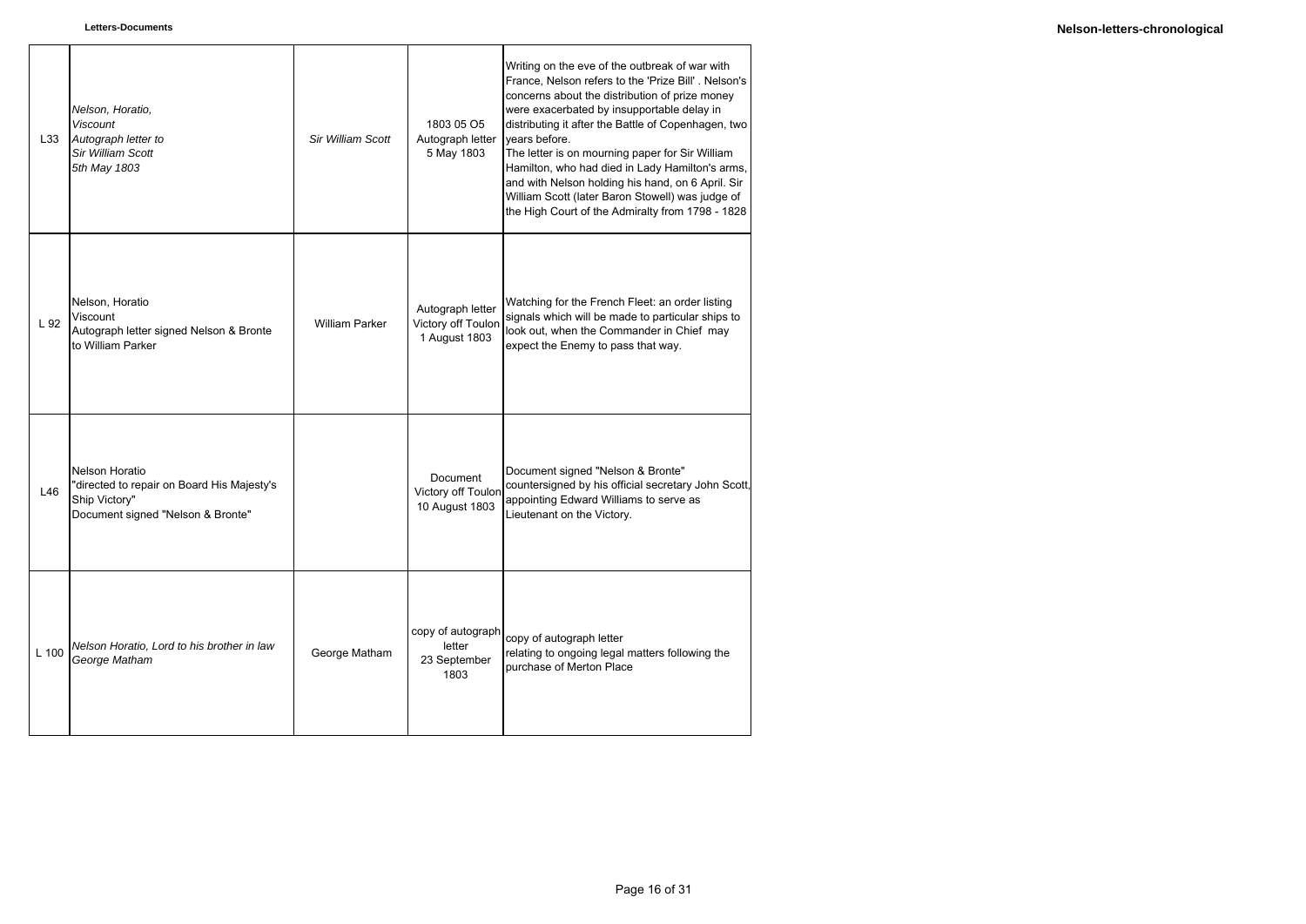| L33   | Nelson, Horatio,<br><b>Viscount</b><br>Autograph letter to<br><b>Sir William Scott</b><br>5th May 1803             | Sir William Scott     | 1803 05 O5<br>Autograph letter<br>5 May 1803            | Writing on the eve of the outbreak of war with<br>France, Nelson refers to the 'Prize Bill'. Nelson's<br>concerns about the distribution of prize money<br>were exacerbated by insupportable delay in<br>distributing it after the Battle of Copenhagen, two<br>vears before.<br>The letter is on mourning paper for Sir William<br>Hamilton, who had died in Lady Hamilton's arms,<br>and with Nelson holding his hand, on 6 April. Sir<br>William Scott (later Baron Stowell) was judge of<br>the High Court of the Admiralty from 1798 - 1828 |
|-------|--------------------------------------------------------------------------------------------------------------------|-----------------------|---------------------------------------------------------|--------------------------------------------------------------------------------------------------------------------------------------------------------------------------------------------------------------------------------------------------------------------------------------------------------------------------------------------------------------------------------------------------------------------------------------------------------------------------------------------------------------------------------------------------|
| L 92  | Nelson, Horatio<br>Viscount<br>Autograph letter signed Nelson & Bronte<br>to William Parker                        | <b>William Parker</b> | Autograph letter<br>Victory off Toulon<br>1 August 1803 | Watching for the French Fleet: an order listing<br>signals which will be made to particular ships to<br>look out, when the Commander in Chief may<br>expect the Enemy to pass that way.                                                                                                                                                                                                                                                                                                                                                          |
| L46   | Nelson Horatio<br>"directed to repair on Board His Majesty's<br>Ship Victory"<br>Document signed "Nelson & Bronte" |                       | <b>Document</b><br>Victory off Toulor<br>10 August 1803 | Document signed "Nelson & Bronte"<br>countersigned by his official secretary John Scott,<br>appointing Edward Williams to serve as<br>Lieutenant on the Victory.                                                                                                                                                                                                                                                                                                                                                                                 |
| L 100 | Nelson Horatio, Lord to his brother in law<br>George Matham                                                        | George Matham         | copy of autograph<br>letter<br>23 September<br>1803     | copy of autograph letter<br>relating to ongoing legal matters following the<br>purchase of Merton Place                                                                                                                                                                                                                                                                                                                                                                                                                                          |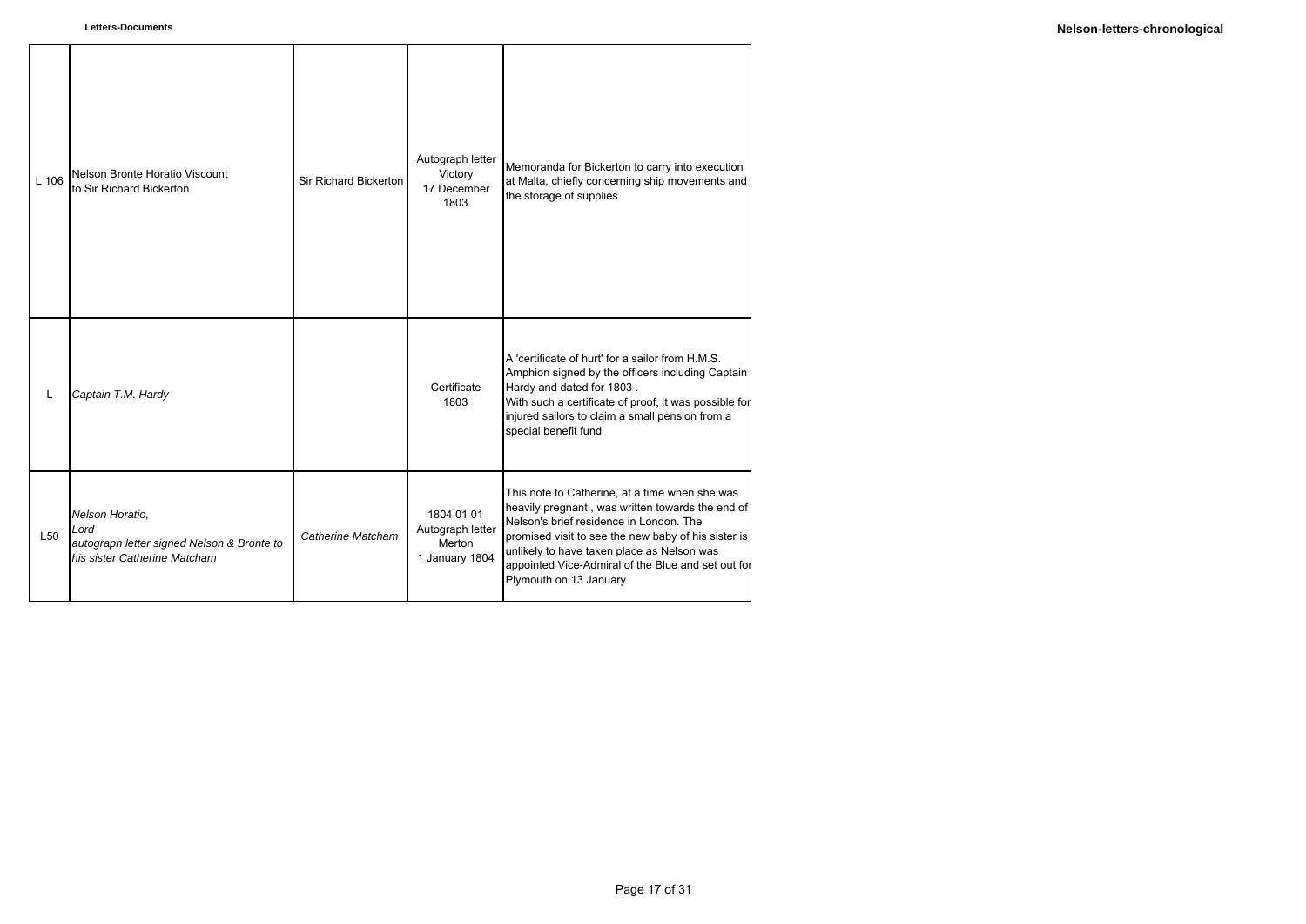| $L$ 106         | Nelson Bronte Horatio Viscount<br>to Sir Richard Bickerton                                            | Sir Richard Bickerton | Autograph letter<br>Victory<br>17 December<br>1803         | Memoranda for Bickerton to carry into execution<br>at Malta, chiefly concerning ship movements and<br>the storage of supplies                                                                                                                                                                                                      |
|-----------------|-------------------------------------------------------------------------------------------------------|-----------------------|------------------------------------------------------------|------------------------------------------------------------------------------------------------------------------------------------------------------------------------------------------------------------------------------------------------------------------------------------------------------------------------------------|
| L               | Captain T.M. Hardy                                                                                    |                       | Certificate<br>1803                                        | A 'certificate of hurt' for a sailor from H.M.S.<br>Amphion signed by the officers including Captain<br>Hardy and dated for 1803.<br>With such a certificate of proof, it was possible for<br>injured sailors to claim a small pension from a<br>special benefit fund                                                              |
| L <sub>50</sub> | Nelson Horatio,<br>Lord<br>autograph letter signed Nelson & Bronte to<br>his sister Catherine Matcham | Catherine Matcham     | 1804 01 01<br>Autograph letter<br>Merton<br>1 January 1804 | This note to Catherine, at a time when she was<br>heavily pregnant, was written towards the end of<br>Nelson's brief residence in London. The<br>promised visit to see the new baby of his sister is<br>unlikely to have taken place as Nelson was<br>appointed Vice-Admiral of the Blue and set out for<br>Plymouth on 13 January |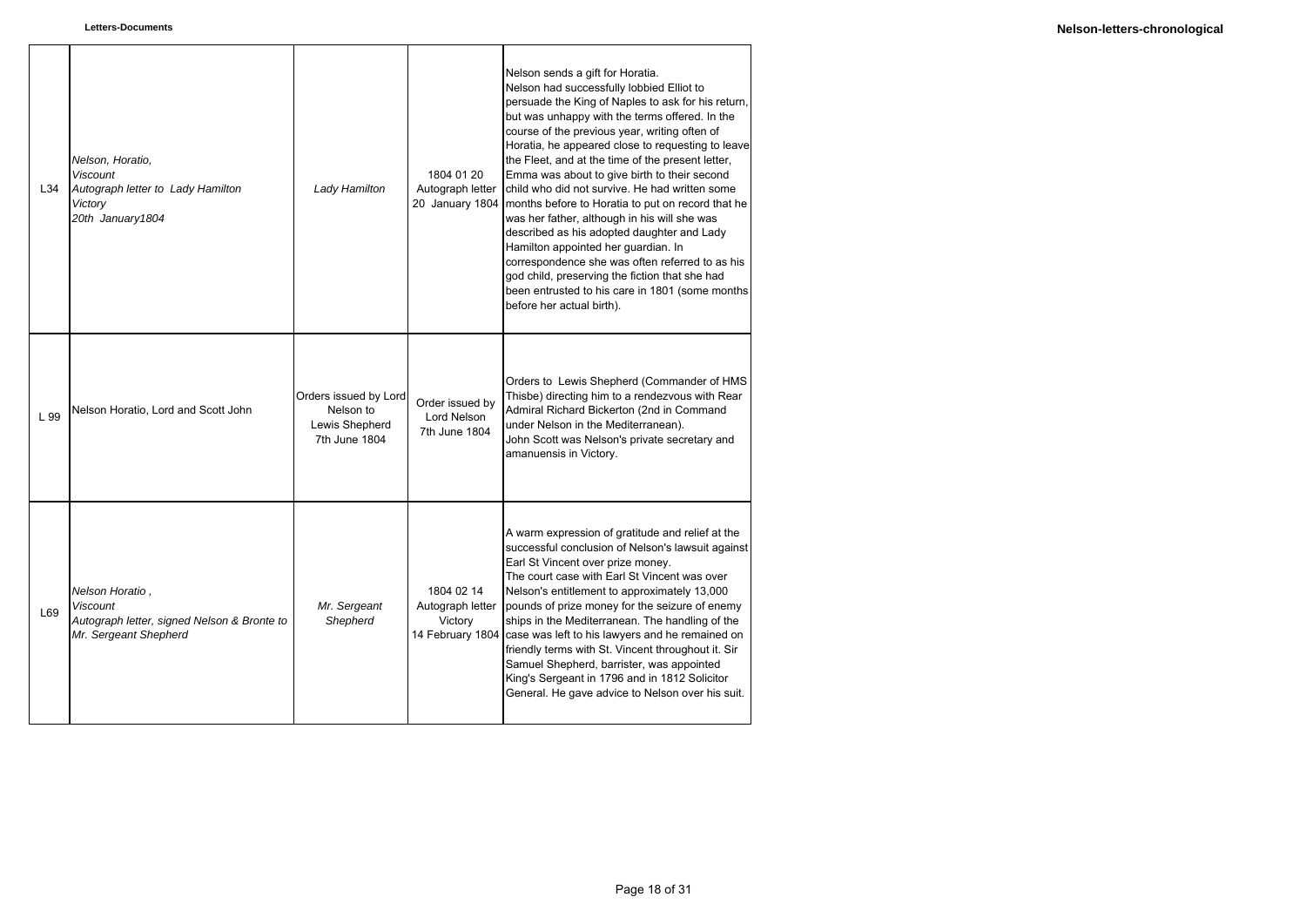| L34  | Nelson, Horatio,<br><b>Viscount</b><br>Autograph letter to Lady Hamilton<br>Victory<br>20th January 1804   | Lady Hamilton                                                         | 1804 01 20<br>Autograph letter<br>20 January 1804 | Nelson sends a gift for Horatia.<br>Nelson had successfully lobbied Elliot to<br>persuade the King of Naples to ask for his return,<br>but was unhappy with the terms offered. In the<br>course of the previous year, writing often of<br>Horatia, he appeared close to requesting to leave<br>the Fleet, and at the time of the present letter,<br>Emma was about to give birth to their second<br>child who did not survive. He had written some<br>months before to Horatia to put on record that he<br>was her father, although in his will she was<br>described as his adopted daughter and Lady<br>Hamilton appointed her guardian. In<br>correspondence she was often referred to as his<br>god child, preserving the fiction that she had<br>been entrusted to his care in 1801 (some months<br>before her actual birth). |
|------|------------------------------------------------------------------------------------------------------------|-----------------------------------------------------------------------|---------------------------------------------------|-----------------------------------------------------------------------------------------------------------------------------------------------------------------------------------------------------------------------------------------------------------------------------------------------------------------------------------------------------------------------------------------------------------------------------------------------------------------------------------------------------------------------------------------------------------------------------------------------------------------------------------------------------------------------------------------------------------------------------------------------------------------------------------------------------------------------------------|
| L 99 | Nelson Horatio, Lord and Scott John                                                                        | Orders issued by Lord<br>Nelson to<br>Lewis Shepherd<br>7th June 1804 | Order issued by<br>Lord Nelson<br>7th June 1804   | Orders to Lewis Shepherd (Commander of HMS<br>Thisbe) directing him to a rendezvous with Rear<br>Admiral Richard Bickerton (2nd in Command<br>under Nelson in the Mediterranean).<br>John Scott was Nelson's private secretary and<br>amanuensis in Victory.                                                                                                                                                                                                                                                                                                                                                                                                                                                                                                                                                                      |
| L69  | Nelson Horatio,<br><b>Viscount</b><br>Autograph letter, signed Nelson & Bronte to<br>Mr. Sergeant Shepherd | Mr. Sergeant<br>Shepherd                                              | 1804 02 14<br>Autograph letter<br>Victory         | A warm expression of gratitude and relief at the<br>successful conclusion of Nelson's lawsuit against<br>Earl St Vincent over prize money.<br>The court case with Earl St Vincent was over<br>Nelson's entitlement to approximately 13,000<br>pounds of prize money for the seizure of enemy<br>ships in the Mediterranean. The handling of the<br>14 February 1804 case was left to his lawyers and he remained on<br>friendly terms with St. Vincent throughout it. Sir<br>Samuel Shepherd, barrister, was appointed<br>King's Sergeant in 1796 and in 1812 Solicitor<br>General. He gave advice to Nelson over his suit.                                                                                                                                                                                                       |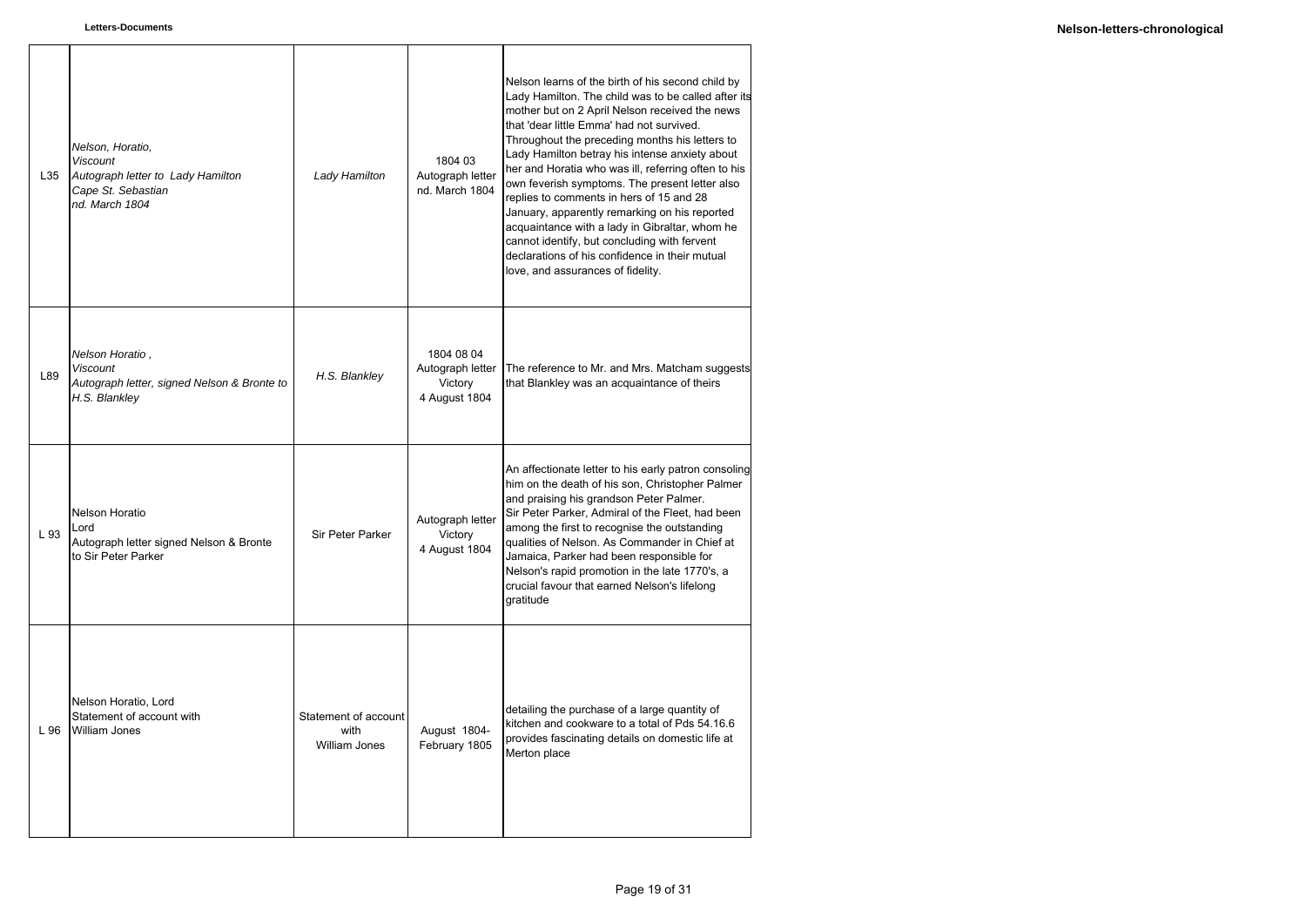| L35  | Nelson, Horatio,<br><b>Viscount</b><br>Autograph letter to Lady Hamilton<br>Cape St. Sebastian<br>nd. March 1804 | Lady Hamilton                                        | 1804 03<br>Autograph letter<br>nd. March 1804              | Nelson learns of the birth of his second child by<br>Lady Hamilton. The child was to be called after its<br>mother but on 2 April Nelson received the news<br>that 'dear little Emma' had not survived.<br>Throughout the preceding months his letters to<br>Lady Hamilton betray his intense anxiety about<br>her and Horatia who was ill, referring often to his<br>own feverish symptoms. The present letter also<br>replies to comments in hers of 15 and 28<br>January, apparently remarking on his reported<br>acquaintance with a lady in Gibraltar, whom he<br>cannot identify, but concluding with fervent<br>declarations of his confidence in their mutual<br>love, and assurances of fidelity. |
|------|------------------------------------------------------------------------------------------------------------------|------------------------------------------------------|------------------------------------------------------------|------------------------------------------------------------------------------------------------------------------------------------------------------------------------------------------------------------------------------------------------------------------------------------------------------------------------------------------------------------------------------------------------------------------------------------------------------------------------------------------------------------------------------------------------------------------------------------------------------------------------------------------------------------------------------------------------------------|
| L89  | Nelson Horatio,<br><b>Viscount</b><br>Autograph letter, signed Nelson & Bronte to<br>H.S. Blankley               | H.S. Blankley                                        | 1804 08 04<br>Autograph letter<br>Victory<br>4 August 1804 | The reference to Mr. and Mrs. Matcham suggests<br>that Blankley was an acquaintance of theirs                                                                                                                                                                                                                                                                                                                                                                                                                                                                                                                                                                                                              |
| L 93 | Nelson Horatio<br>Lord<br>Autograph letter signed Nelson & Bronte<br>to Sir Peter Parker                         | Sir Peter Parker                                     | Autograph letter<br>Victory<br>4 August 1804               | An affectionate letter to his early patron consoling<br>him on the death of his son, Christopher Palmer<br>and praising his grandson Peter Palmer.<br>Sir Peter Parker, Admiral of the Fleet, had been<br>among the first to recognise the outstanding<br>qualities of Nelson. As Commander in Chief at<br>Jamaica, Parker had been responsible for<br>Nelson's rapid promotion in the late 1770's, a<br>crucial favour that earned Nelson's lifelong<br>aratitude                                                                                                                                                                                                                                         |
| L 96 | Nelson Horatio, Lord<br>Statement of account with<br><b>William Jones</b>                                        | Statement of account<br>with<br><b>William Jones</b> | August 1804-<br>February 1805                              | detailing the purchase of a large quantity of<br>kitchen and cookware to a total of Pds 54.16.6<br>provides fascinating details on domestic life at<br>Merton place                                                                                                                                                                                                                                                                                                                                                                                                                                                                                                                                        |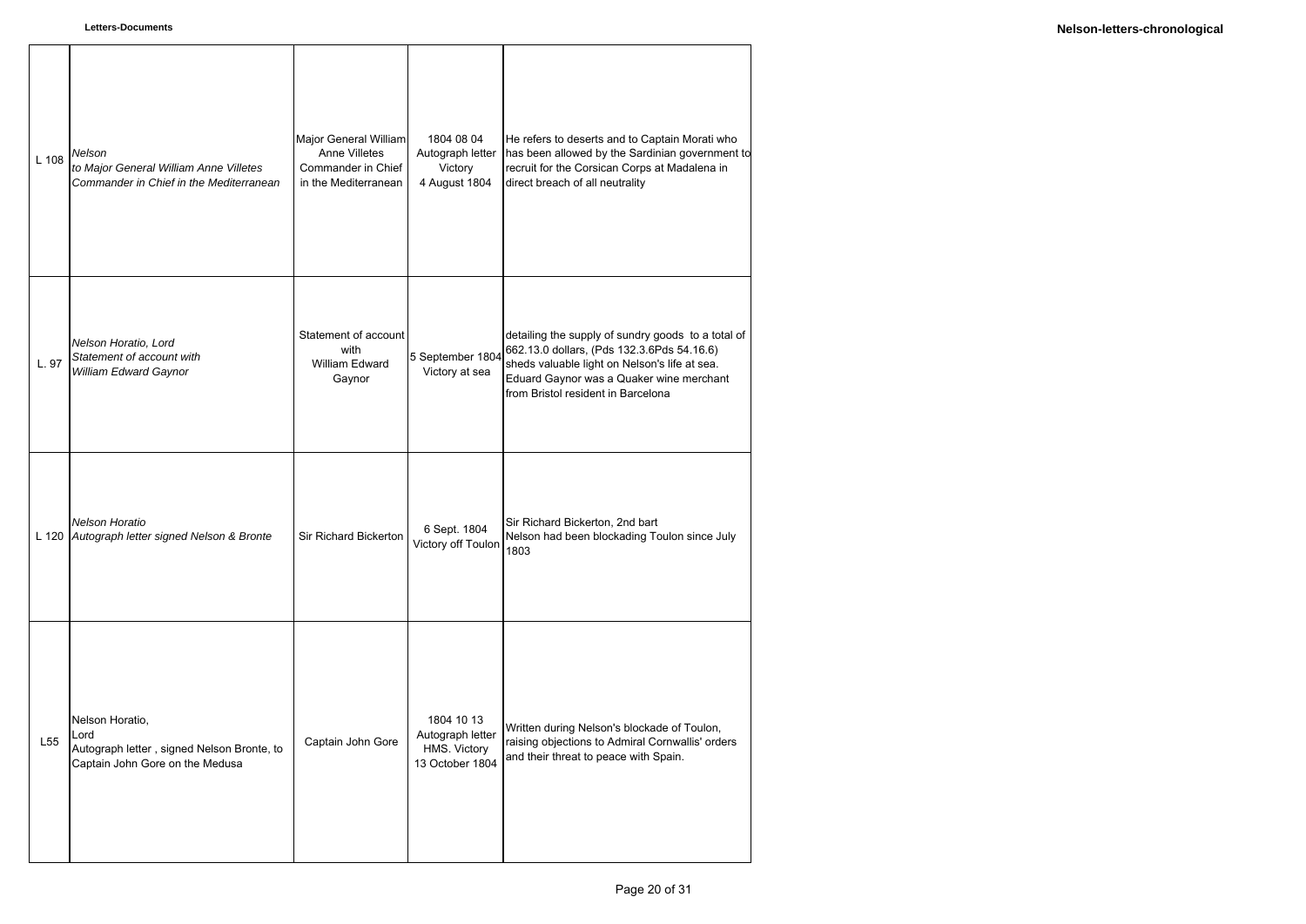| L 108 | Nelson<br>to Major General William Anne Villetes<br>Commander in Chief in the Mediterranean              | Major General William<br><b>Anne Villetes</b><br>Commander in Chief<br>in the Mediterranean | 1804 08 04<br>Autograph letter<br>Victory<br>4 August 1804        | He refers to deserts and to Captain Morati who<br>has been allowed by the Sardinian government to<br>recruit for the Corsican Corps at Madalena in<br>direct breach of all neutrality                                               |
|-------|----------------------------------------------------------------------------------------------------------|---------------------------------------------------------------------------------------------|-------------------------------------------------------------------|-------------------------------------------------------------------------------------------------------------------------------------------------------------------------------------------------------------------------------------|
| L. 97 | Nelson Horatio, Lord<br>Statement of account with<br>William Edward Gaynor                               | Statement of account<br>with<br><b>William Edward</b><br>Gaynor                             | 5 September 1804<br>Victory at sea                                | detailing the supply of sundry goods to a total of<br>662.13.0 dollars, (Pds 132.3.6Pds 54.16.6)<br>sheds valuable light on Nelson's life at sea.<br>Eduard Gaynor was a Quaker wine merchant<br>from Bristol resident in Barcelona |
|       | <b>Nelson Horatio</b><br>L 120 Autograph letter signed Nelson & Bronte                                   | Sir Richard Bickerton                                                                       | 6 Sept. 1804<br>Victory off Toulon                                | Sir Richard Bickerton, 2nd bart<br>Nelson had been blockading Toulon since July<br>1803                                                                                                                                             |
| L55   | Nelson Horatio,<br>Lord<br>Autograph letter, signed Nelson Bronte, to<br>Captain John Gore on the Medusa | Captain John Gore                                                                           | 1804 10 13<br>Autograph letter<br>HMS. Victory<br>13 October 1804 | Written during Nelson's blockade of Toulon,<br>raising objections to Admiral Cornwallis' orders<br>and their threat to peace with Spain.                                                                                            |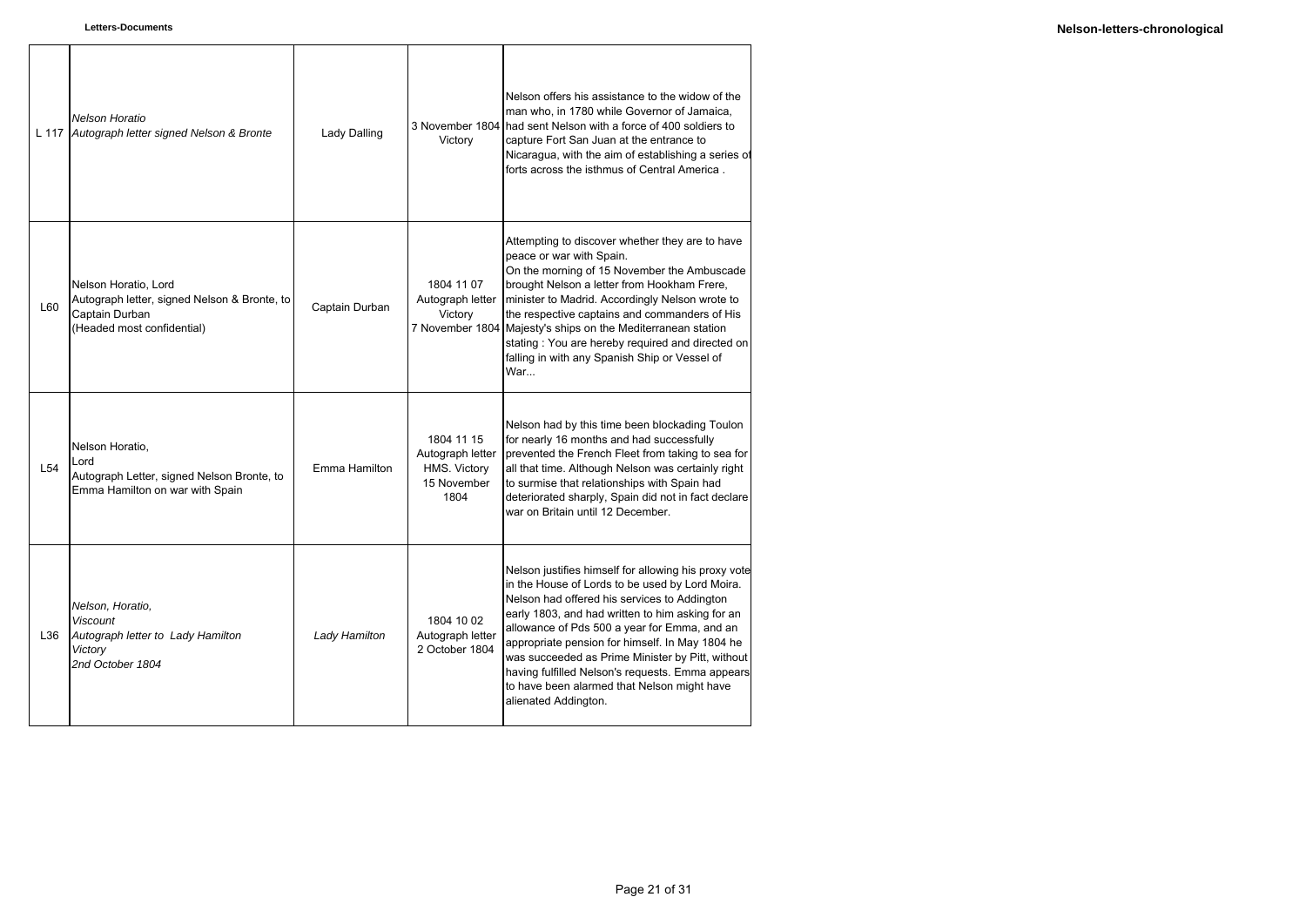|     | <b>Nelson Horatio</b><br>L 117 Autograph letter signed Nelson & Bronte                                               | <b>Lady Dalling</b> | Victory                                                               | Nelson offers his assistance to the widow of the<br>man who, in 1780 while Governor of Jamaica.<br>3 November 1804 had sent Nelson with a force of 400 soldiers to<br>capture Fort San Juan at the entrance to<br>Nicaragua, with the aim of establishing a series of<br>forts across the isthmus of Central America.                                                                                                                                                                         |
|-----|----------------------------------------------------------------------------------------------------------------------|---------------------|-----------------------------------------------------------------------|-----------------------------------------------------------------------------------------------------------------------------------------------------------------------------------------------------------------------------------------------------------------------------------------------------------------------------------------------------------------------------------------------------------------------------------------------------------------------------------------------|
| L60 | Nelson Horatio, Lord<br>Autograph letter, signed Nelson & Bronte, to<br>Captain Durban<br>(Headed most confidential) | Captain Durban      | 1804 11 07<br>Autograph letter<br>Victory                             | Attempting to discover whether they are to have<br>peace or war with Spain.<br>On the morning of 15 November the Ambuscade<br>brought Nelson a letter from Hookham Frere,<br>minister to Madrid. Accordingly Nelson wrote to<br>the respective captains and commanders of His<br>7 November 1804 Majesty's ships on the Mediterranean station<br>stating: You are hereby required and directed on<br>falling in with any Spanish Ship or Vessel of<br>War                                     |
| L54 | Nelson Horatio,<br>Lord<br>Autograph Letter, signed Nelson Bronte, to<br>Emma Hamilton on war with Spain             | Emma Hamilton       | 1804 11 15<br>Autograph letter<br>HMS. Victory<br>15 November<br>1804 | Nelson had by this time been blockading Toulon<br>for nearly 16 months and had successfully<br>prevented the French Fleet from taking to sea for<br>all that time. Although Nelson was certainly right<br>to surmise that relationships with Spain had<br>deteriorated sharply, Spain did not in fact declare<br>war on Britain until 12 December.                                                                                                                                            |
| L36 | Nelson, Horatio,<br><b>Viscount</b><br>Autograph letter to Lady Hamilton<br>Victory<br>2nd October 1804              | Lady Hamilton       | 1804 10 02<br>Autograph letter<br>2 October 1804                      | Nelson justifies himself for allowing his proxy vote<br>in the House of Lords to be used by Lord Moira.<br>Nelson had offered his services to Addington<br>early 1803, and had written to him asking for an<br>allowance of Pds 500 a year for Emma, and an<br>appropriate pension for himself. In May 1804 he<br>was succeeded as Prime Minister by Pitt, without<br>having fulfilled Nelson's requests. Emma appears<br>to have been alarmed that Nelson might have<br>alienated Addington. |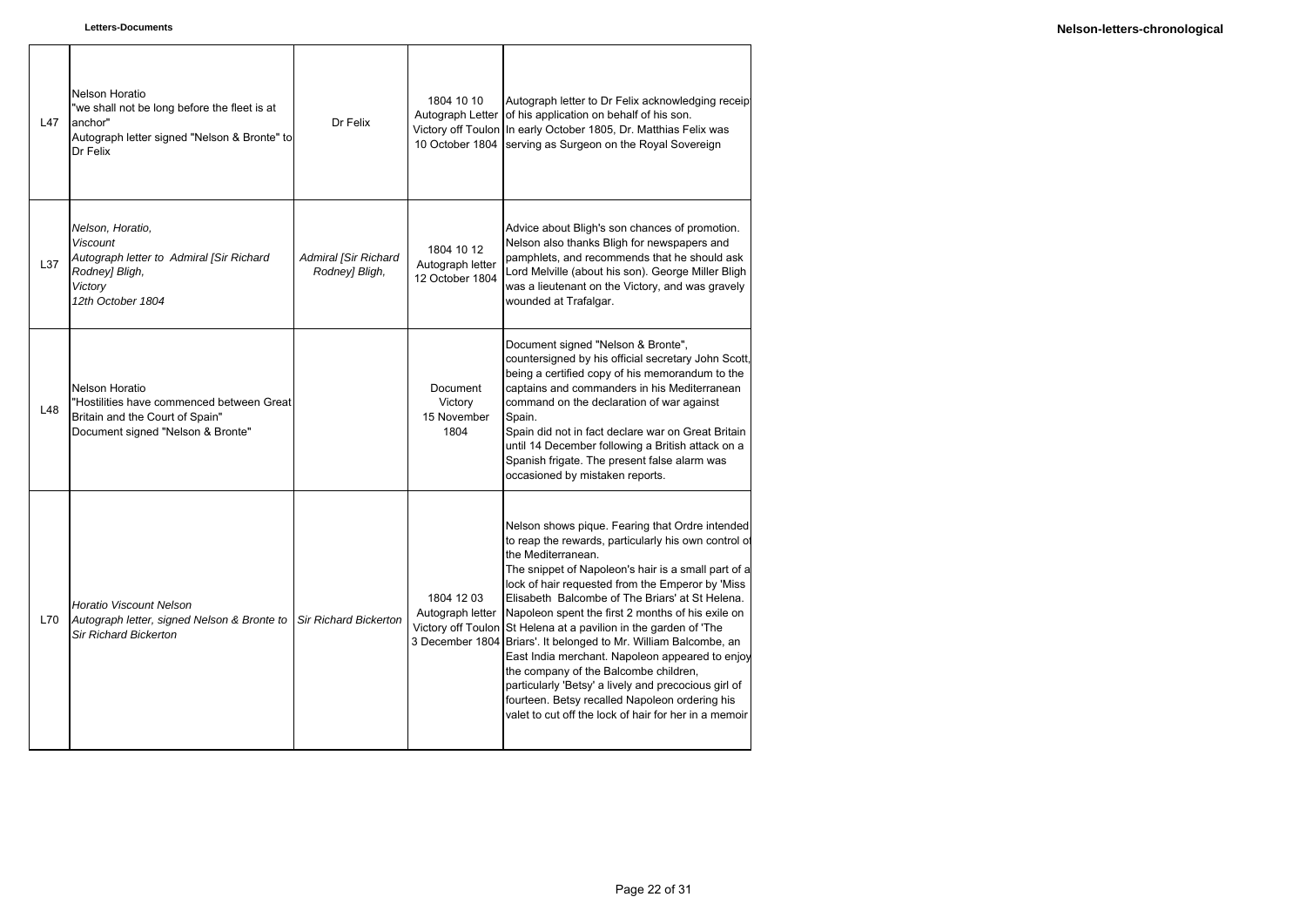ा

| L47 | Nelson Horatio<br>"we shall not be long before the fleet is at<br>anchor"<br>Autograph letter signed "Nelson & Bronte" to<br>Dr Felix | Dr Felix                               | 1804 10 10<br>Victory off Toulon<br>10 October 1804 | Autograph letter to Dr Felix acknowledging receipt<br>Autograph Letter of his application on behalf of his son.<br>In early October 1805, Dr. Matthias Felix was<br>serving as Surgeon on the Royal Sovereign                                                                                                                                                                                                                                                                                                                                                                                                                                                                                                                                           |
|-----|---------------------------------------------------------------------------------------------------------------------------------------|----------------------------------------|-----------------------------------------------------|---------------------------------------------------------------------------------------------------------------------------------------------------------------------------------------------------------------------------------------------------------------------------------------------------------------------------------------------------------------------------------------------------------------------------------------------------------------------------------------------------------------------------------------------------------------------------------------------------------------------------------------------------------------------------------------------------------------------------------------------------------|
| L37 | Nelson, Horatio,<br><b>Viscount</b><br>Autograph letter to Admiral [Sir Richard<br>Rodney] Bligh,<br>Victory<br>12th October 1804     | Admiral [Sir Richard<br>Rodney] Bligh, | 1804 10 12<br>Autograph letter<br>12 October 1804   | Advice about Bligh's son chances of promotion.<br>Nelson also thanks Bligh for newspapers and<br>pamphlets, and recommends that he should ask<br>Lord Melville (about his son). George Miller Bligh<br>was a lieutenant on the Victory, and was gravely<br>wounded at Trafalgar.                                                                                                                                                                                                                                                                                                                                                                                                                                                                        |
| L48 | Nelson Horatio<br>"Hostilities have commenced between Great<br>Britain and the Court of Spain"<br>Document signed "Nelson & Bronte"   |                                        | Document<br>Victory<br>15 November<br>1804          | Document signed "Nelson & Bronte",<br>countersigned by his official secretary John Scott,<br>being a certified copy of his memorandum to the<br>captains and commanders in his Mediterranean<br>command on the declaration of war against<br>Spain.<br>Spain did not in fact declare war on Great Britain<br>until 14 December following a British attack on a<br>Spanish frigate. The present false alarm was<br>occasioned by mistaken reports.                                                                                                                                                                                                                                                                                                       |
| L70 | <b>Horatio Viscount Nelson</b><br>Autograph letter, signed Nelson & Bronte to<br><b>Sir Richard Bickerton</b>                         | <b>Sir Richard Bickerton</b>           | 1804 12 03<br>Autograph letter                      | Nelson shows pique. Fearing that Ordre intended<br>to reap the rewards, particularly his own control of<br>the Mediterranean.<br>The snippet of Napoleon's hair is a small part of a<br>lock of hair requested from the Emperor by 'Miss<br>Elisabeth Balcombe of The Briars' at St Helena.<br>Napoleon spent the first 2 months of his exile on<br>Victory off Toulon St Helena at a pavilion in the garden of 'The<br>3 December 1804 Briars'. It belonged to Mr. William Balcombe, an<br>East India merchant. Napoleon appeared to enjoy<br>the company of the Balcombe children,<br>particularly 'Betsy' a lively and precocious girl of<br>fourteen. Betsy recalled Napoleon ordering his<br>valet to cut off the lock of hair for her in a memoir |

٦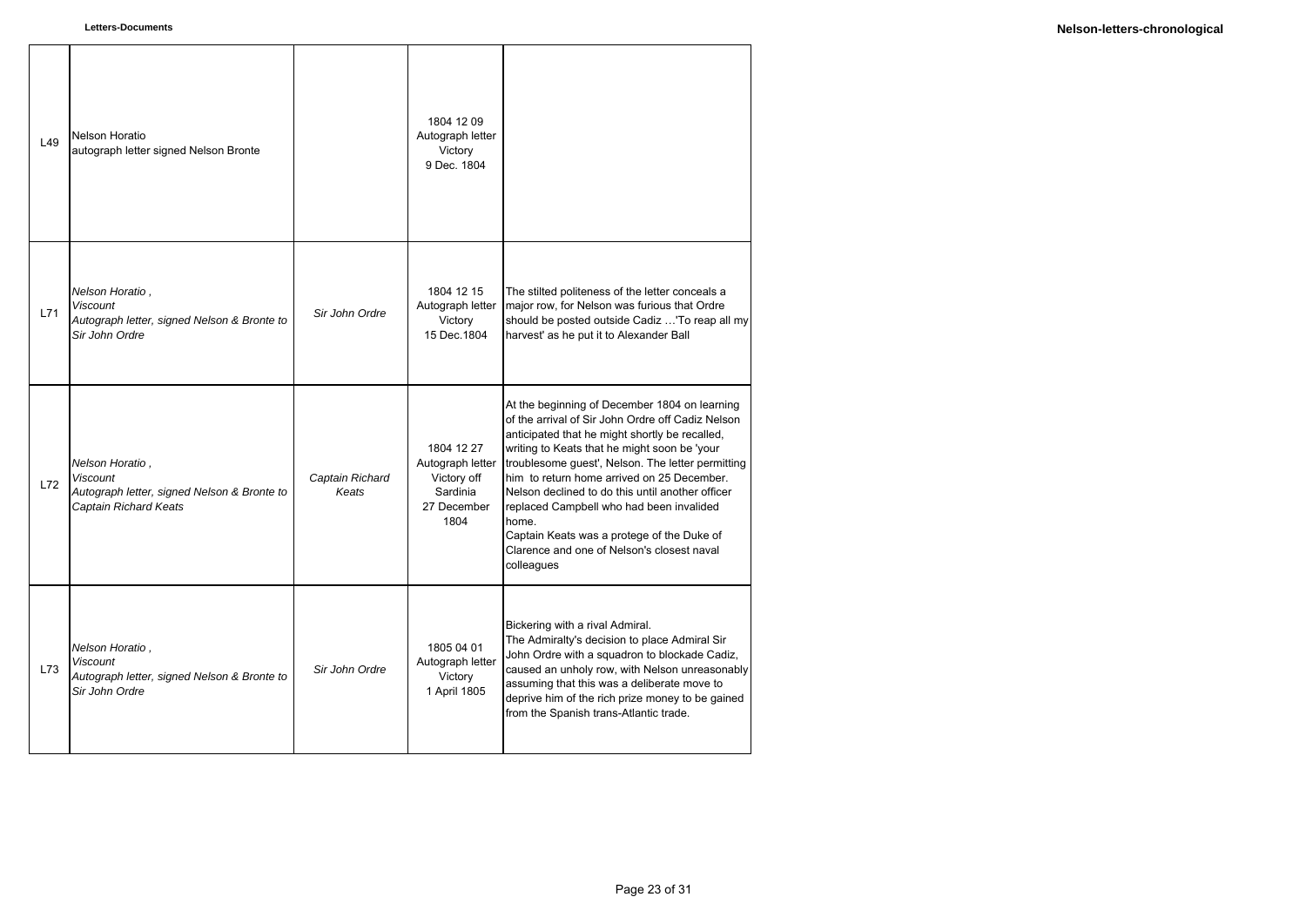| L49 | Nelson Horatio<br>autograph letter signed Nelson Bronte                                             |                          | 1804 12 09<br>Autograph letter<br>Victory<br>9 Dec. 1804                         |                                                                                                                                                                                                                                                                                                                                                                                                                                                                                                                            |
|-----|-----------------------------------------------------------------------------------------------------|--------------------------|----------------------------------------------------------------------------------|----------------------------------------------------------------------------------------------------------------------------------------------------------------------------------------------------------------------------------------------------------------------------------------------------------------------------------------------------------------------------------------------------------------------------------------------------------------------------------------------------------------------------|
| L71 | Nelson Horatio,<br><b>Viscount</b><br>Autograph letter, signed Nelson & Bronte to<br>Sir John Ordre | Sir John Ordre           | 1804 12 15<br>Autograph letter<br>Victory<br>15 Dec. 1804                        | The stilted politeness of the letter conceals a<br>major row, for Nelson was furious that Ordre<br>should be posted outside Cadiz 'To reap all my<br>harvest' as he put it to Alexander Ball                                                                                                                                                                                                                                                                                                                               |
| L72 | Nelson Horatio,<br>Viscount<br>Autograph letter, signed Nelson & Bronte to<br>Captain Richard Keats | Captain Richard<br>Keats | 1804 12 27<br>Autograph letter<br>Victory off<br>Sardinia<br>27 December<br>1804 | At the beginning of December 1804 on learning<br>of the arrival of Sir John Ordre off Cadiz Nelson<br>anticipated that he might shortly be recalled,<br>writing to Keats that he might soon be 'your<br>troublesome guest', Nelson. The letter permitting<br>him to return home arrived on 25 December.<br>Nelson declined to do this until another officer<br>replaced Campbell who had been invalided<br>home.<br>Captain Keats was a protege of the Duke of<br>Clarence and one of Nelson's closest naval<br>colleagues |
| L73 | Nelson Horatio,<br><b>Viscount</b><br>Autograph letter, signed Nelson & Bronte to<br>Sir John Ordre | Sir John Ordre           | 1805 04 01<br>Autograph letter<br>Victory<br>1 April 1805                        | Bickering with a rival Admiral.<br>The Admiralty's decision to place Admiral Sir<br>John Ordre with a squadron to blockade Cadiz,<br>caused an unholy row, with Nelson unreasonably<br>assuming that this was a deliberate move to<br>deprive him of the rich prize money to be gained<br>from the Spanish trans-Atlantic trade.                                                                                                                                                                                           |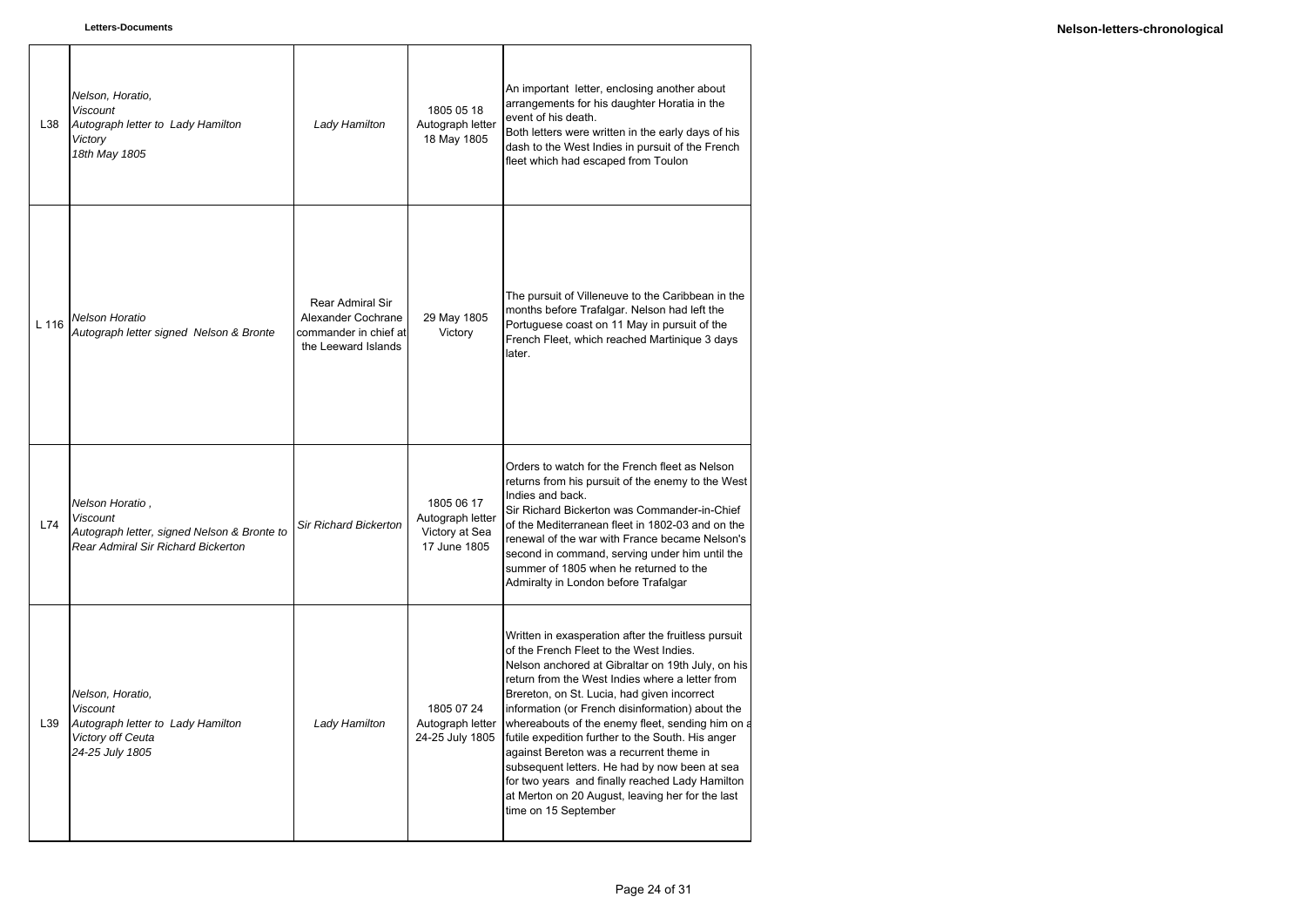| L38   | Nelson, Horatio,<br><b>Viscount</b><br>Autograph letter to Lady Hamilton<br>Victory<br>18th May 1805                           | Lady Hamilton                                                                          | 1805 05 18<br>Autograph letter<br>18 May 1805                    | An important letter, enclosing another about<br>arrangements for his daughter Horatia in the<br>event of his death.<br>Both letters were written in the early days of his<br>dash to the West Indies in pursuit of the French<br>fleet which had escaped from Toulon                                                                                                                                                                                                                                                                                                                                                                           |
|-------|--------------------------------------------------------------------------------------------------------------------------------|----------------------------------------------------------------------------------------|------------------------------------------------------------------|------------------------------------------------------------------------------------------------------------------------------------------------------------------------------------------------------------------------------------------------------------------------------------------------------------------------------------------------------------------------------------------------------------------------------------------------------------------------------------------------------------------------------------------------------------------------------------------------------------------------------------------------|
| L 116 | <b>Nelson Horatio</b><br>Autograph letter signed Nelson & Bronte                                                               | Rear Admiral Sir<br>Alexander Cochrane<br>commander in chief at<br>the Leeward Islands | 29 May 1805<br>Victory                                           | The pursuit of Villeneuve to the Caribbean in the<br>months before Trafalgar. Nelson had left the<br>Portuguese coast on 11 May in pursuit of the<br>French Fleet, which reached Martinique 3 days<br>later.                                                                                                                                                                                                                                                                                                                                                                                                                                   |
| L74   | Nelson Horatio,<br><b>Viscount</b><br>Autograph letter, signed Nelson & Bronte to<br><b>Rear Admiral Sir Richard Bickerton</b> | <b>Sir Richard Bickerton</b>                                                           | 1805 06 17<br>Autograph letter<br>Victory at Sea<br>17 June 1805 | Orders to watch for the French fleet as Nelson<br>returns from his pursuit of the enemy to the West<br>Indies and back.<br>Sir Richard Bickerton was Commander-in-Chief<br>of the Mediterranean fleet in 1802-03 and on the<br>renewal of the war with France became Nelson's<br>second in command, serving under him until the<br>summer of 1805 when he returned to the<br>Admiralty in London before Trafalgar                                                                                                                                                                                                                              |
| L39   | Nelson, Horatio,<br><b>Viscount</b><br>Autograph letter to Lady Hamilton<br>Victory off Ceuta<br>24-25 July 1805               | Lady Hamilton                                                                          | 1805 07 24<br>Autograph letter<br>24-25 July 1805                | Written in exasperation after the fruitless pursuit<br>of the French Fleet to the West Indies.<br>Nelson anchored at Gibraltar on 19th July, on his<br>return from the West Indies where a letter from<br>Brereton, on St. Lucia, had given incorrect<br>information (or French disinformation) about the<br>whereabouts of the enemy fleet, sending him on a<br>futile expedition further to the South. His anger<br>against Bereton was a recurrent theme in<br>subsequent letters. He had by now been at sea<br>for two years and finally reached Lady Hamilton<br>at Merton on 20 August, leaving her for the last<br>time on 15 September |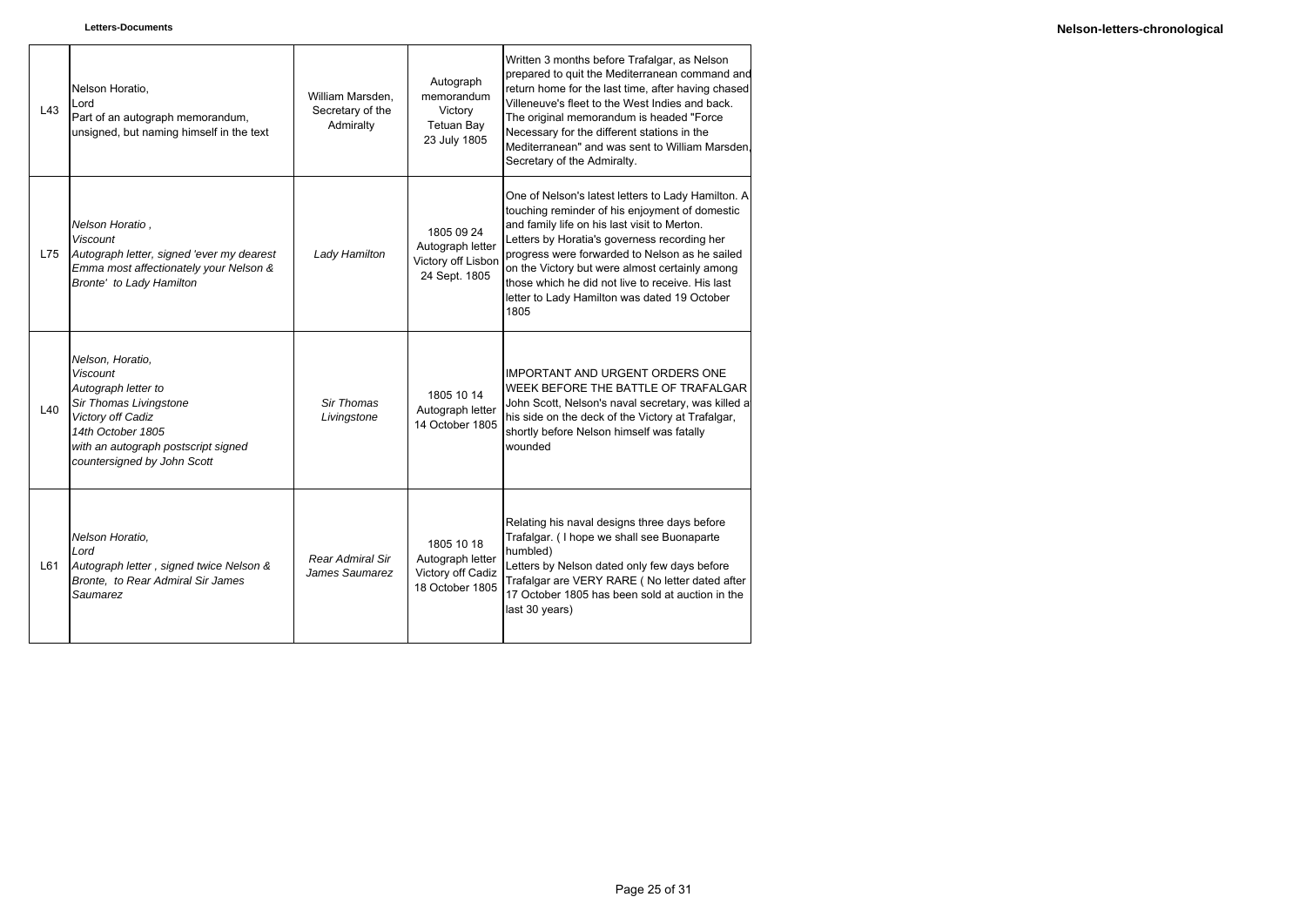| L43 | Nelson Horatio,<br>Lord<br>Part of an autograph memorandum,<br>unsigned, but naming himself in the text                                                                                              | William Marsden,<br>Secretary of the<br>Admiralty | Autograph<br>memorandum<br>Victory<br><b>Tetuan Bay</b><br>23 July 1805 | Written 3 months before Trafalgar, as Nelson<br>prepared to quit the Mediterranean command and<br>return home for the last time, after having chased<br>Villeneuve's fleet to the West Indies and back.<br>The original memorandum is headed "Force<br>Necessary for the different stations in the<br>Mediterranean" and was sent to William Marsden.<br>Secretary of the Admiralty.                                 |
|-----|------------------------------------------------------------------------------------------------------------------------------------------------------------------------------------------------------|---------------------------------------------------|-------------------------------------------------------------------------|----------------------------------------------------------------------------------------------------------------------------------------------------------------------------------------------------------------------------------------------------------------------------------------------------------------------------------------------------------------------------------------------------------------------|
| L75 | Nelson Horatio,<br><b>Viscount</b><br>Autograph letter, signed 'ever my dearest<br>Emma most affectionately your Nelson &<br>Bronte' to Lady Hamilton                                                | Lady Hamilton                                     | 1805 09 24<br>Autograph letter<br>Victory off Lisbon<br>24 Sept. 1805   | One of Nelson's latest letters to Lady Hamilton. A<br>touching reminder of his enjoyment of domestic<br>and family life on his last visit to Merton.<br>Letters by Horatia's governess recording her<br>progress were forwarded to Nelson as he sailed<br>on the Victory but were almost certainly among<br>those which he did not live to receive. His last<br>letter to Lady Hamilton was dated 19 October<br>1805 |
| L40 | Nelson, Horatio,<br><b>Viscount</b><br>Autograph letter to<br>Sir Thomas Livingstone<br>Victory off Cadiz<br>14th October 1805<br>with an autograph postscript signed<br>countersigned by John Scott | Sir Thomas<br>Livingstone                         | 1805 10 14<br>Autograph letter<br>14 October 1805                       | <b>IMPORTANT AND URGENT ORDERS ONE</b><br>WEEK BEFORE THE BATTLE OF TRAFALGAR<br>John Scott, Nelson's naval secretary, was killed at<br>his side on the deck of the Victory at Trafalgar,<br>shortly before Nelson himself was fatally<br>wounded                                                                                                                                                                    |
| L61 | Nelson Horatio,<br>Lord<br>Autograph letter, signed twice Nelson &<br>Bronte, to Rear Admiral Sir James<br>Saumarez                                                                                  | <b>Rear Admiral Sir</b><br>James Saumarez         | 1805 10 18<br>Autograph letter<br>Victory off Cadiz<br>18 October 1805  | Relating his naval designs three days before<br>Trafalgar. (I hope we shall see Buonaparte<br>humbled)<br>Letters by Nelson dated only few days before<br>Trafalgar are VERY RARE (No letter dated after<br>17 October 1805 has been sold at auction in the<br>last 30 years)                                                                                                                                        |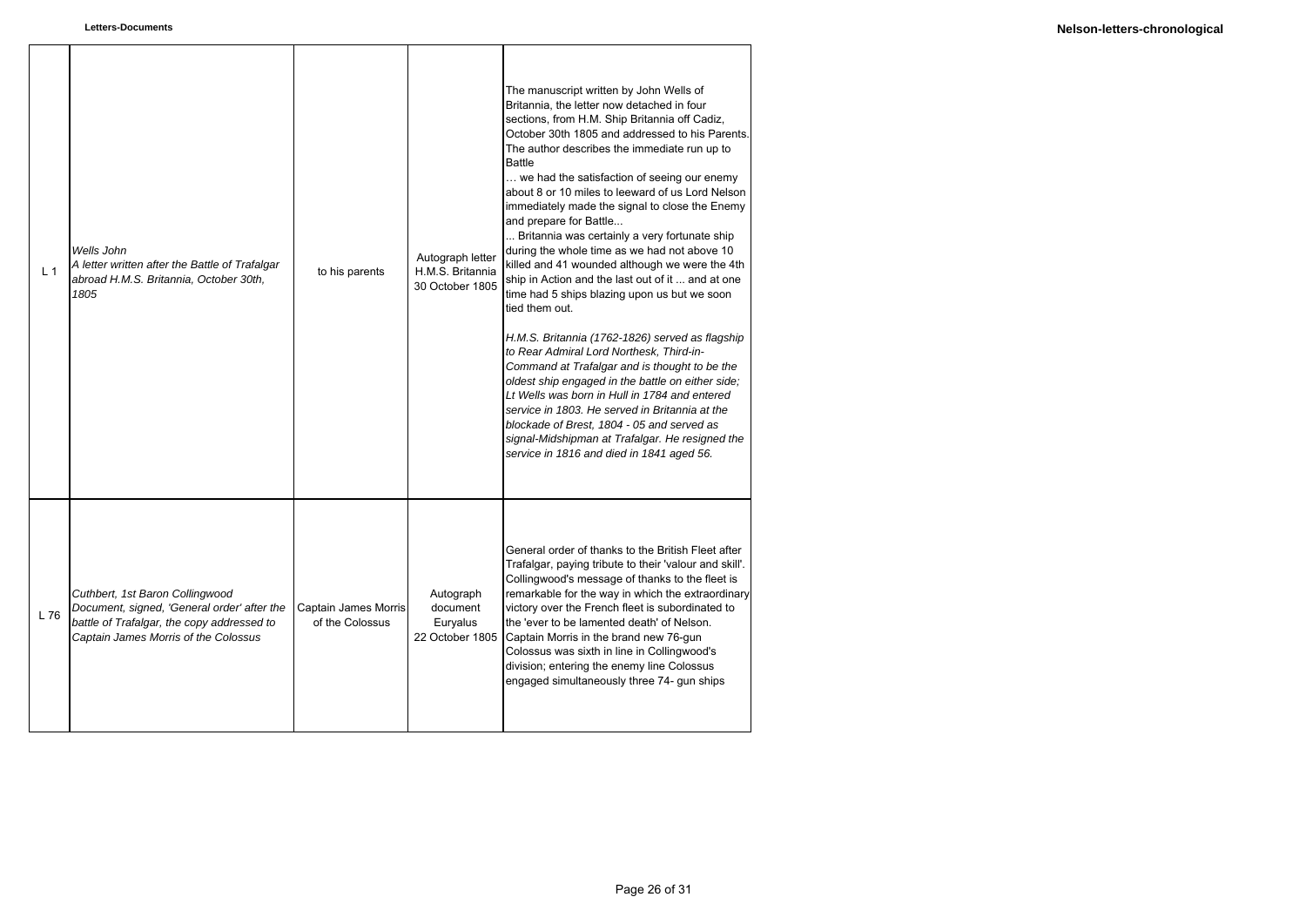| L <sub>1</sub> | Wells John<br>A letter written after the Battle of Trafalgar<br>abroad H.M.S. Britannia, October 30th,<br>1805                                                       | to his parents                          | Autograph letter<br>H.M.S. Britannia<br>30 October 1805 | The manuscript written by John Wells of<br>Britannia, the letter now detached in four<br>sections, from H.M. Ship Britannia off Cadiz,<br>October 30th 1805 and addressed to his Parents.<br>The author describes the immediate run up to<br><b>Battle</b><br>we had the satisfaction of seeing our enemy<br>about 8 or 10 miles to leeward of us Lord Nelson<br>immediately made the signal to close the Enemy<br>and prepare for Battle<br>Britannia was certainly a very fortunate ship<br>during the whole time as we had not above 10<br>killed and 41 wounded although we were the 4th<br>ship in Action and the last out of it  and at one<br>time had 5 ships blazing upon us but we soon<br>tied them out.<br>H.M.S. Britannia (1762-1826) served as flagship<br>to Rear Admiral Lord Northesk, Third-in-<br>Command at Trafalgar and is thought to be the<br>oldest ship engaged in the battle on either side;<br>Lt Wells was born in Hull in 1784 and entered<br>service in 1803. He served in Britannia at the<br>blockade of Brest, 1804 - 05 and served as<br>signal-Midshipman at Trafalgar. He resigned the<br>service in 1816 and died in 1841 aged 56. |
|----------------|----------------------------------------------------------------------------------------------------------------------------------------------------------------------|-----------------------------------------|---------------------------------------------------------|---------------------------------------------------------------------------------------------------------------------------------------------------------------------------------------------------------------------------------------------------------------------------------------------------------------------------------------------------------------------------------------------------------------------------------------------------------------------------------------------------------------------------------------------------------------------------------------------------------------------------------------------------------------------------------------------------------------------------------------------------------------------------------------------------------------------------------------------------------------------------------------------------------------------------------------------------------------------------------------------------------------------------------------------------------------------------------------------------------------------------------------------------------------------------|
| L76            | Cuthbert, 1st Baron Collingwood<br>Document, signed, 'General order' after the<br>battle of Trafalgar, the copy addressed to<br>Captain James Morris of the Colossus | Captain James Morris<br>of the Colossus | Autograph<br>document<br>Euryalus<br>22 October 1805    | General order of thanks to the British Fleet after<br>Trafalgar, paying tribute to their 'valour and skill'.<br>Collingwood's message of thanks to the fleet is<br>remarkable for the way in which the extraordinary<br>victory over the French fleet is subordinated to<br>the 'ever to be lamented death' of Nelson.<br>Captain Morris in the brand new 76-gun<br>Colossus was sixth in line in Collingwood's<br>division; entering the enemy line Colossus<br>engaged simultaneously three 74- gun ships                                                                                                                                                                                                                                                                                                                                                                                                                                                                                                                                                                                                                                                               |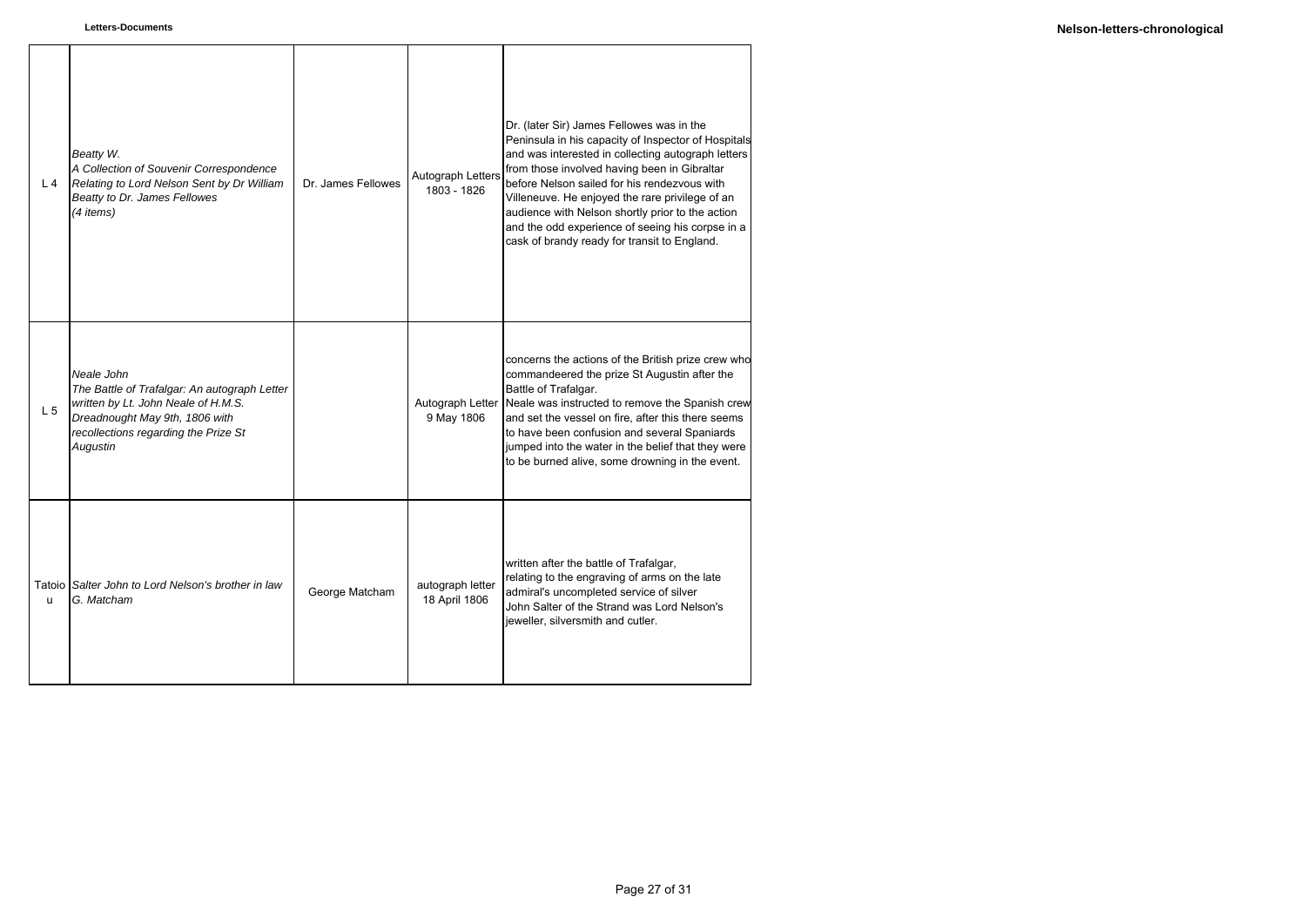| L <sub>4</sub> | Beatty W.<br>A Collection of Souvenir Correspondence<br>Relating to Lord Nelson Sent by Dr William<br>Beatty to Dr. James Fellowes<br>(4 items)                                         | Dr. James Fellowes | Autograph Letters<br>1803 - 1826  | Dr. (later Sir) James Fellowes was in the<br>Peninsula in his capacity of Inspector of Hospitals<br>and was interested in collecting autograph letters<br>from those involved having been in Gibraltar<br>before Nelson sailed for his rendezvous with<br>Villeneuve. He enjoyed the rare privilege of an<br>audience with Nelson shortly prior to the action<br>and the odd experience of seeing his corpse in a<br>cask of brandy ready for transit to England. |
|----------------|-----------------------------------------------------------------------------------------------------------------------------------------------------------------------------------------|--------------------|-----------------------------------|-------------------------------------------------------------------------------------------------------------------------------------------------------------------------------------------------------------------------------------------------------------------------------------------------------------------------------------------------------------------------------------------------------------------------------------------------------------------|
| L <sub>5</sub> | Neale John<br>The Battle of Trafalgar: An autograph Letter<br>written by Lt. John Neale of H.M.S.<br>Dreadnought May 9th, 1806 with<br>recollections regarding the Prize St<br>Augustin |                    | Autograph Letter<br>9 May 1806    | concerns the actions of the British prize crew who<br>commandeered the prize St Augustin after the<br>Battle of Trafalgar.<br>Neale was instructed to remove the Spanish crew<br>and set the vessel on fire, after this there seems<br>to have been confusion and several Spaniards<br>jumped into the water in the belief that they were<br>to be burned alive, some drowning in the event.                                                                      |
| u              | Tatoio Salter John to Lord Nelson's brother in law<br>G. Matcham                                                                                                                        | George Matcham     | autograph letter<br>18 April 1806 | written after the battle of Trafalgar,<br>relating to the engraving of arms on the late<br>admiral's uncompleted service of silver<br>John Salter of the Strand was Lord Nelson's<br>jeweller, silversmith and cutler.                                                                                                                                                                                                                                            |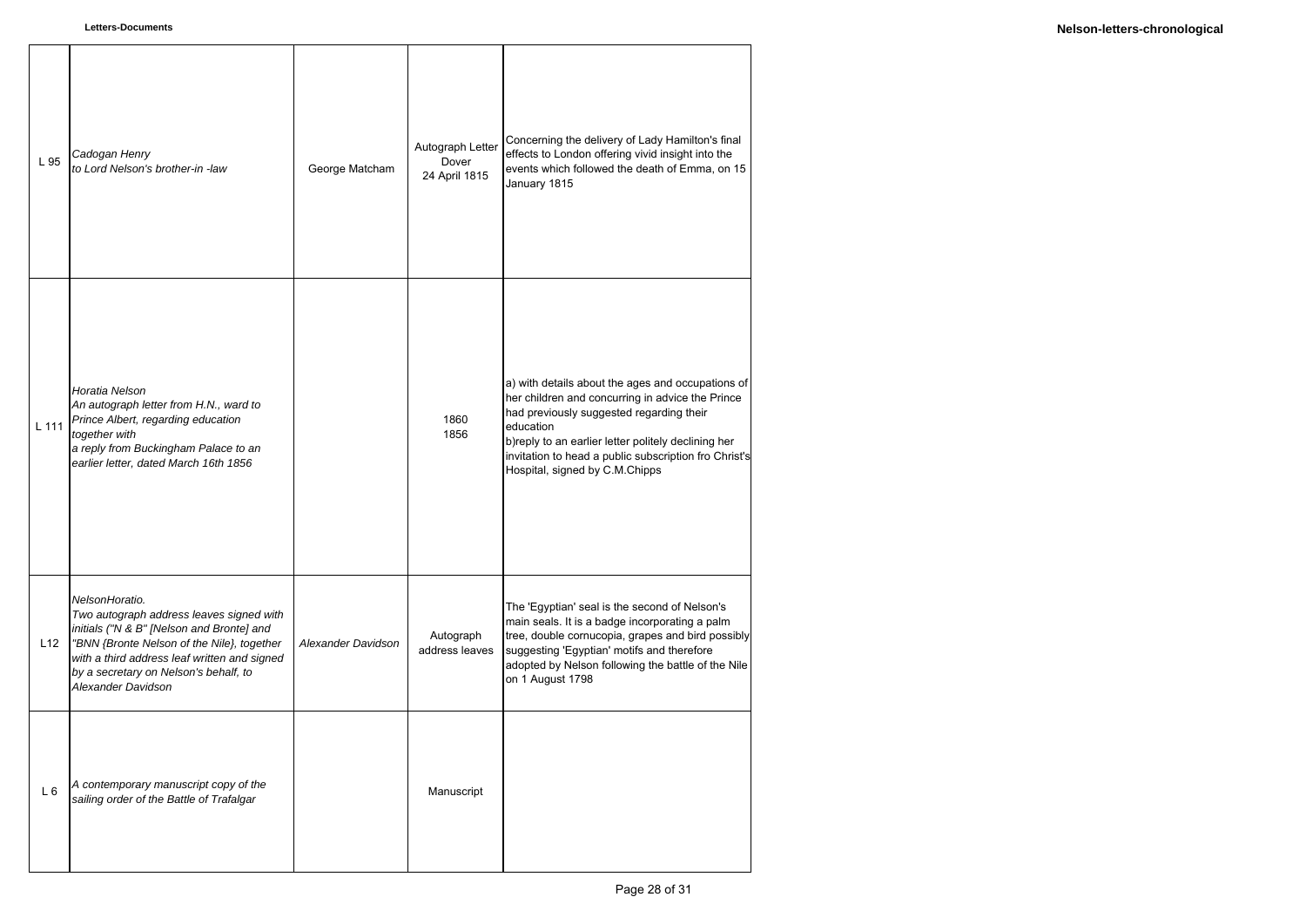| L 95  | Cadogan Henry<br>to Lord Nelson's brother-in -law                                                                                                                                                                                                                    | George Matcham     | Autograph Letter<br>Dover<br>24 April 1815 | Concerning the delivery of Lady Hamilton's final<br>effects to London offering vivid insight into the<br>events which followed the death of Emma, on 15<br>January 1815                                                                                                                                          |
|-------|----------------------------------------------------------------------------------------------------------------------------------------------------------------------------------------------------------------------------------------------------------------------|--------------------|--------------------------------------------|------------------------------------------------------------------------------------------------------------------------------------------------------------------------------------------------------------------------------------------------------------------------------------------------------------------|
| L 111 | Horatia Nelson<br>An autograph letter from H.N., ward to<br>Prince Albert, regarding education<br>together with<br>a reply from Buckingham Palace to an<br>earlier letter, dated March 16th 1856                                                                     |                    | 1860<br>1856                               | a) with details about the ages and occupations of<br>her children and concurring in advice the Prince<br>had previously suggested regarding their<br>education<br>b)reply to an earlier letter politely declining her<br>invitation to head a public subscription fro Christ's<br>Hospital, signed by C.M.Chipps |
| L12   | NelsonHoratio.<br>Two autograph address leaves signed with<br>initials ("N & B" [Nelson and Bronte] and<br>"BNN {Bronte Nelson of the Nile}, together<br>with a third address leaf written and signed<br>by a secretary on Nelson's behalf, to<br>Alexander Davidson | Alexander Davidson | Autograph<br>address leaves                | The 'Egyptian' seal is the second of Nelson's<br>main seals. It is a badge incorporating a palm<br>tree, double cornucopia, grapes and bird possibly<br>suggesting 'Egyptian' motifs and therefore<br>adopted by Nelson following the battle of the Nile<br>on 1 August 1798                                     |
| $L_6$ | A contemporary manuscript copy of the<br>sailing order of the Battle of Trafalgar                                                                                                                                                                                    |                    | Manuscript                                 |                                                                                                                                                                                                                                                                                                                  |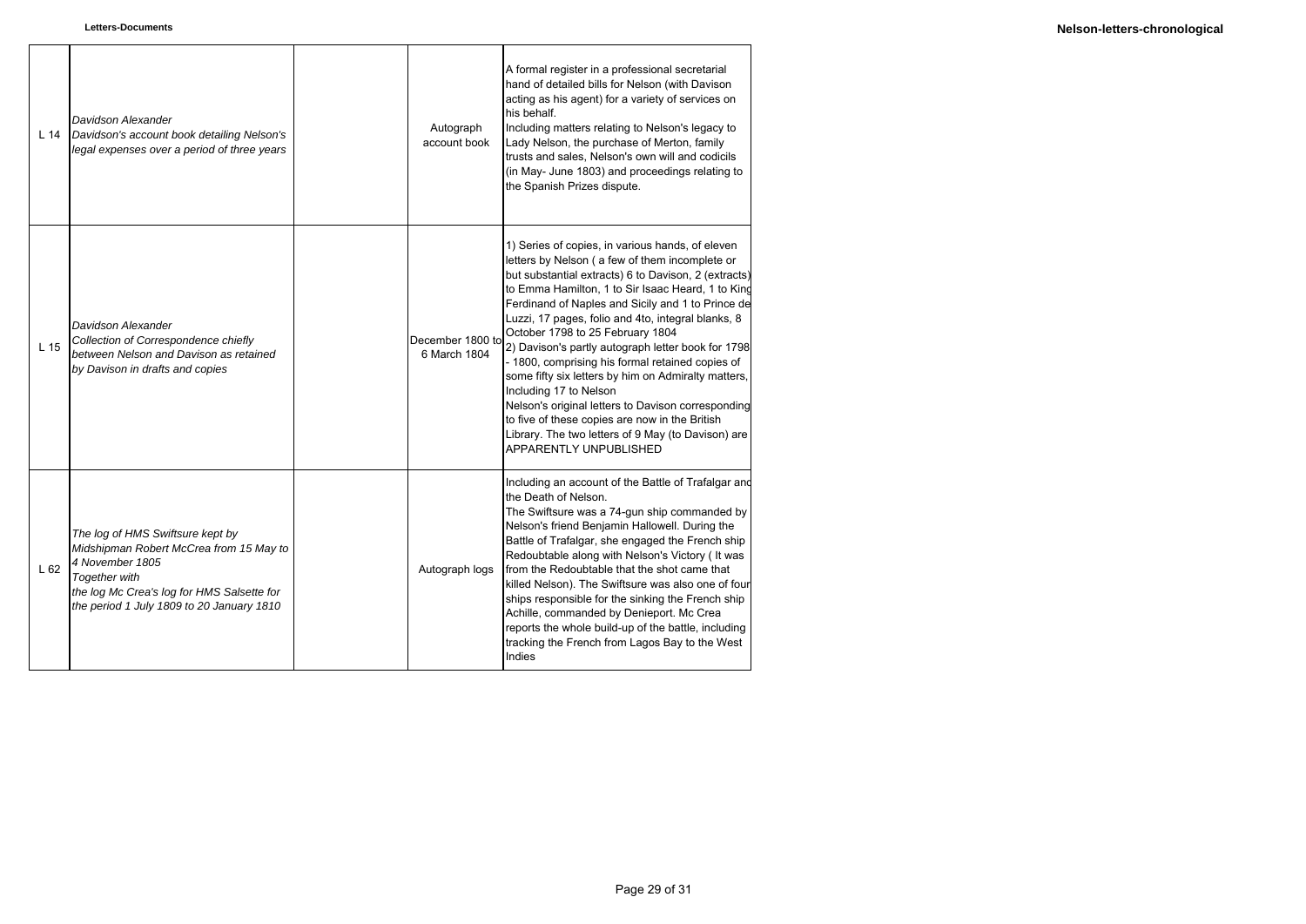| L <sub>14</sub> | Davidson Alexander<br>Davidson's account book detailing Nelson's<br>legal expenses over a period of three years                                                                                            | Autograph<br>account book        | A formal register in a professional secretarial<br>hand of detailed bills for Nelson (with Davison<br>acting as his agent) for a variety of services on<br>his behalf.<br>Including matters relating to Nelson's legacy to<br>Lady Nelson, the purchase of Merton, family<br>trusts and sales, Nelson's own will and codicils<br>(in May- June 1803) and proceedings relating to<br>the Spanish Prizes dispute.                                                                                                                                                                                                                                                                                                                                          |
|-----------------|------------------------------------------------------------------------------------------------------------------------------------------------------------------------------------------------------------|----------------------------------|----------------------------------------------------------------------------------------------------------------------------------------------------------------------------------------------------------------------------------------------------------------------------------------------------------------------------------------------------------------------------------------------------------------------------------------------------------------------------------------------------------------------------------------------------------------------------------------------------------------------------------------------------------------------------------------------------------------------------------------------------------|
| L <sub>15</sub> | Davidson Alexander<br>Collection of Correspondence chiefly<br>between Nelson and Davison as retained<br>by Davison in drafts and copies                                                                    | December 1800 to<br>6 March 1804 | 1) Series of copies, in various hands, of eleven<br>letters by Nelson (a few of them incomplete or<br>but substantial extracts) 6 to Davison, 2 (extracts)<br>to Emma Hamilton, 1 to Sir Isaac Heard, 1 to King<br>Ferdinand of Naples and Sicily and 1 to Prince de<br>Luzzi, 17 pages, folio and 4to, integral blanks, 8<br>October 1798 to 25 February 1804<br>2) Davison's partly autograph letter book for 1798<br>- 1800, comprising his formal retained copies of<br>some fifty six letters by him on Admiralty matters,<br>Including 17 to Nelson<br>Nelson's original letters to Davison corresponding<br>to five of these copies are now in the British<br>Library. The two letters of 9 May (to Davison) are<br><b>APPARENTLY UNPUBLISHED</b> |
| L62             | The log of HMS Swiftsure kept by<br>Midshipman Robert McCrea from 15 May to<br>4 November 1805<br>Together with<br>the log Mc Crea's log for HMS Salsette for<br>the period 1 July 1809 to 20 January 1810 | Autograph logs                   | Including an account of the Battle of Trafalgar and<br>the Death of Nelson.<br>The Swiftsure was a 74-gun ship commanded by<br>Nelson's friend Benjamin Hallowell. During the<br>Battle of Trafalgar, she engaged the French ship<br>Redoubtable along with Nelson's Victory (It was<br>from the Redoubtable that the shot came that<br>killed Nelson). The Swiftsure was also one of four<br>ships responsible for the sinking the French ship<br>Achille, commanded by Denieport. Mc Crea<br>reports the whole build-up of the battle, including<br>tracking the French from Lagos Bay to the West<br>Indies                                                                                                                                           |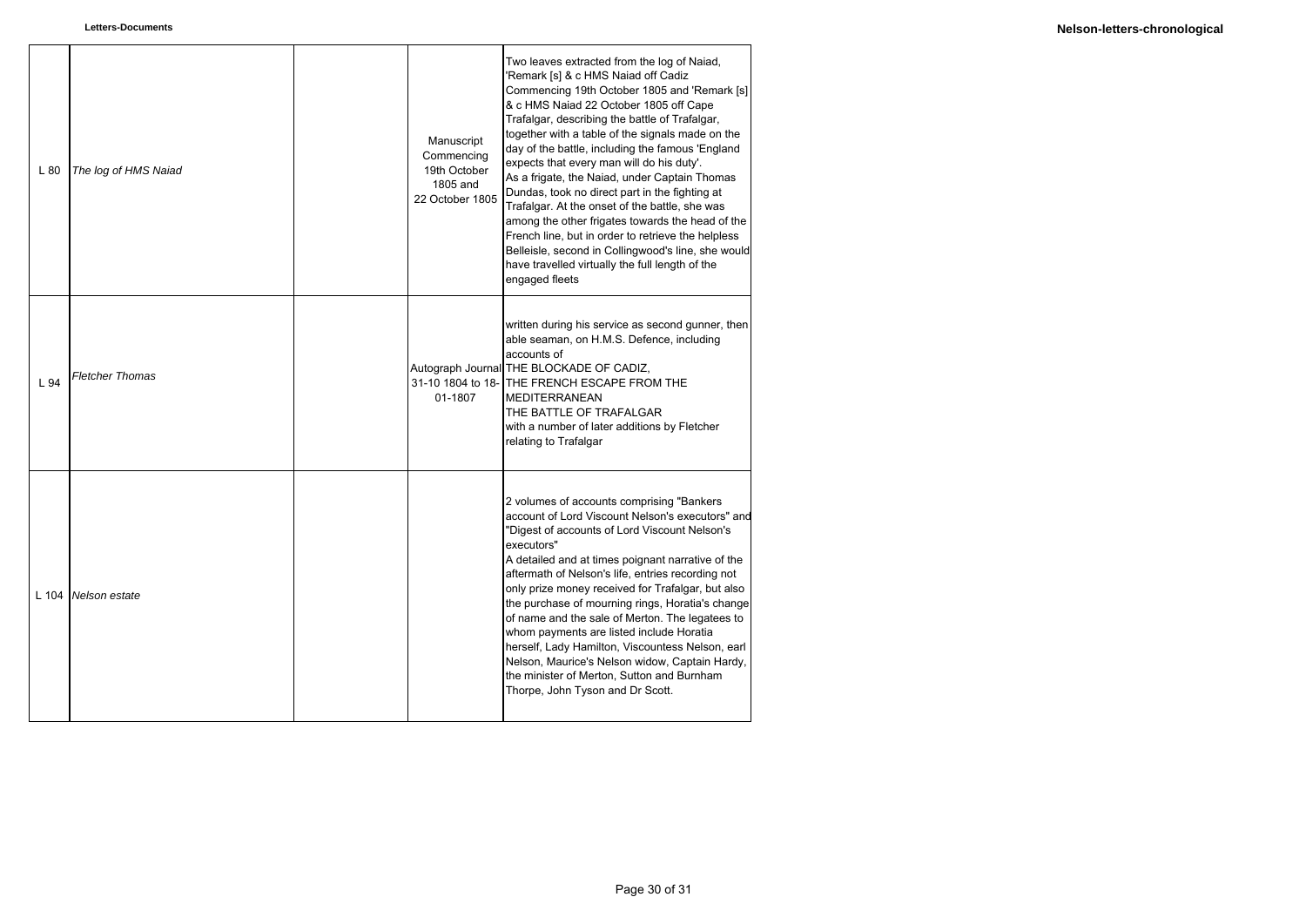| L80   | The log of HMS Naiad   | Manuscript<br>Commencing<br>19th October<br>1805 and<br>22 October 1805 | Two leaves extracted from the log of Naiad,<br>'Remark [s] & c HMS Naiad off Cadiz<br>Commencing 19th October 1805 and 'Remark [s]<br>& c HMS Naiad 22 October 1805 off Cape<br>Trafalgar, describing the battle of Trafalgar,<br>together with a table of the signals made on the<br>day of the battle, including the famous 'England<br>expects that every man will do his duty'.<br>As a frigate, the Naiad, under Captain Thomas<br>Dundas, took no direct part in the fighting at<br>Trafalgar. At the onset of the battle, she was<br>among the other frigates towards the head of the<br>French line, but in order to retrieve the helpless<br>Belleisle, second in Collingwood's line, she would<br>have travelled virtually the full length of the<br>engaged fleets |
|-------|------------------------|-------------------------------------------------------------------------|-------------------------------------------------------------------------------------------------------------------------------------------------------------------------------------------------------------------------------------------------------------------------------------------------------------------------------------------------------------------------------------------------------------------------------------------------------------------------------------------------------------------------------------------------------------------------------------------------------------------------------------------------------------------------------------------------------------------------------------------------------------------------------|
| L 94  | <b>Fletcher Thomas</b> | 01-1807                                                                 | written during his service as second gunner, then<br>able seaman, on H.M.S. Defence, including<br>accounts of<br>Autograph Journal THE BLOCKADE OF CADIZ,<br>31-10 1804 to 18- THE FRENCH ESCAPE FROM THE<br><b>MEDITERRANEAN</b><br>THE BATTLE OF TRAFALGAR<br>with a number of later additions by Fletcher<br>relating to Trafalgar                                                                                                                                                                                                                                                                                                                                                                                                                                         |
| L 104 | Nelson estate          |                                                                         | 2 volumes of accounts comprising "Bankers"<br>account of Lord Viscount Nelson's executors" and<br>"Digest of accounts of Lord Viscount Nelson's<br>executors"<br>A detailed and at times poignant narrative of the<br>aftermath of Nelson's life, entries recording not<br>only prize money received for Trafalgar, but also<br>the purchase of mourning rings, Horatia's change<br>of name and the sale of Merton. The legatees to<br>whom payments are listed include Horatia<br>herself, Lady Hamilton, Viscountess Nelson, earl<br>Nelson, Maurice's Nelson widow, Captain Hardy,<br>the minister of Merton, Sutton and Burnham<br>Thorpe, John Tyson and Dr Scott.                                                                                                       |